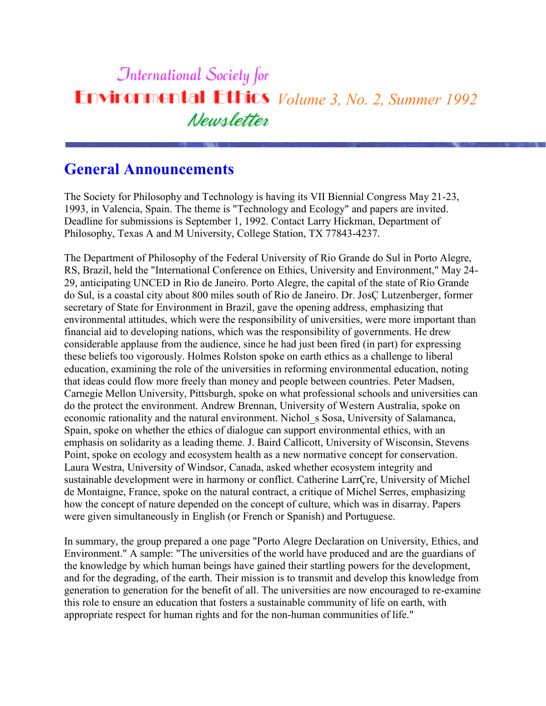# **International Society for Environmental Ethics** *Volume 3, No. 2, Summer 1992* Newsletter

### **General Announcements**

The Society for Philosophy and Technology is having its VII Biennial Congress May 21-23, 1993, in Valencia, Spain. The theme is "Technology and Ecology" and papers are invited. Deadline for submissions is September 1, 1992. Contact Larry Hickman, Department of Philosophy, Texas A and M University, College Station, TX 77843-4237.

The Department of Philosophy of the Federal University of Rio Grande do Sul in Porto Alegre, RS, Brazil, held the "International Conference on Ethics, University and Environment," May 24- 29, anticipating UNCED in Rio de Janeiro. Porto Alegre, the capital of the state of Rio Grande do Sul, is a coastal city about 800 miles south of Rio de Janeiro. Dr. JosÇ Lutzenberger, former secretary of State for Environment in Brazil, gave the opening address, emphasizing that environmental attitudes, which were the responsibility of universities, were more important than financial aid to developing nations, which was the responsibility of governments. He drew considerable applause from the audience, since he had just been fired (in part) for expressing these beliefs too vigorously. Holmes Rolston spoke on earth ethics as a challenge to liberal education, examining the role of the universities in reforming environmental education, noting that ideas could flow more freely than money and people between countries. Peter Madsen, Carnegie Mellon University, Pittsburgh, spoke on what professional schools and universities can do the protect the environment. Andrew Brennan, University of Western Australia, spoke on economic rationality and the natural environment. Nichol\_s Sosa, University of Salamanca, Spain, spoke on whether the ethics of dialogue can support environmental ethics, with an emphasis on solidarity as a leading theme. J. Baird Callicott, University of Wisconsin, Stevens Point, spoke on ecology and ecosystem health as a new normative concept for conservation. Laura Westra, University of Windsor, Canada, asked whether ecosystem integrity and sustainable development were in harmony or conflict. Catherine LarrÇre, University of Michel de Montaigne, France, spoke on the natural contract, a critique of Michel Serres, emphasizing how the concept of nature depended on the concept of culture, which was in disarray. Papers were given simultaneously in English (or French or Spanish) and Portuguese.

In summary, the group prepared a one page "Porto Alegre Declaration on University, Ethics, and Environment." A sample: "The universities of the world have produced and are the guardians of the knowledge by which human beings have gained their startling powers for the development, and for the degrading, of the earth. Their mission is to transmit and develop this knowledge from generation to generation for the benefit of all. The universities are now encouraged to re-examine this role to ensure an education that fosters a sustainable community of life on earth, with appropriate respect for human rights and for the non-human communities of life."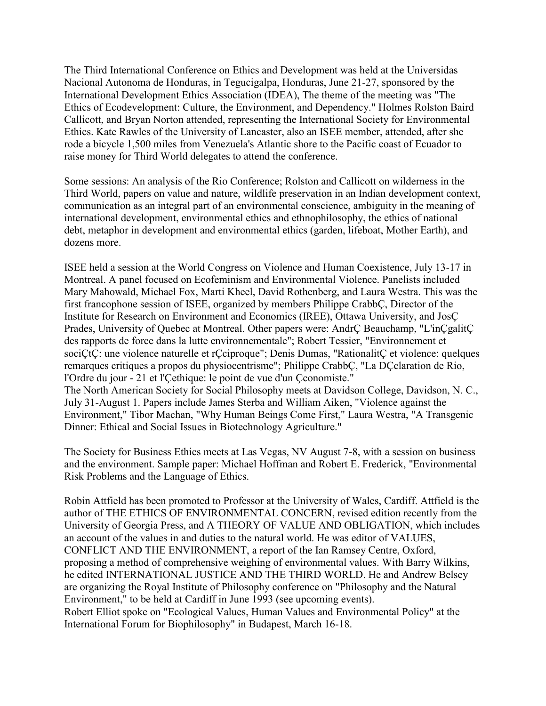The Third International Conference on Ethics and Development was held at the Universidas Nacional Autonoma de Honduras, in Tegucigalpa, Honduras, June 21-27, sponsored by the International Development Ethics Association (IDEA), The theme of the meeting was "The Ethics of Ecodevelopment: Culture, the Environment, and Dependency." Holmes Rolston Baird Callicott, and Bryan Norton attended, representing the International Society for Environmental Ethics. Kate Rawles of the University of Lancaster, also an ISEE member, attended, after she rode a bicycle 1,500 miles from Venezuela's Atlantic shore to the Pacific coast of Ecuador to raise money for Third World delegates to attend the conference.

Some sessions: An analysis of the Rio Conference; Rolston and Callicott on wilderness in the Third World, papers on value and nature, wildlife preservation in an Indian development context, communication as an integral part of an environmental conscience, ambiguity in the meaning of international development, environmental ethics and ethnophilosophy, the ethics of national debt, metaphor in development and environmental ethics (garden, lifeboat, Mother Earth), and dozens more.

ISEE held a session at the World Congress on Violence and Human Coexistence, July 13-17 in Montreal. A panel focused on Ecofeminism and Environmental Violence. Panelists included Mary Mahowald, Michael Fox, Marti Kheel, David Rothenberg, and Laura Westra. This was the first francophone session of ISEE, organized by members Philippe CrabbÇ, Director of the Institute for Research on Environment and Economics (IREE), Ottawa University, and JosÇ Prades, University of Quebec at Montreal. Other papers were: AndrÇ Beauchamp, "L'inÇgalitÇ des rapports de force dans la lutte environnementale"; Robert Tessier, "Environnement et sociÇtÇ: une violence naturelle et rÇciproque"; Denis Dumas, "RationalitÇ et violence: quelques remarques critiques a propos du physiocentrisme"; Philippe CrabbÇ, "La DÇclaration de Rio, l'Ordre du jour - 21 et l'Çethique: le point de vue d'un Çconomiste." The North American Society for Social Philosophy meets at Davidson College, Davidson, N. C.,

July 31-August 1. Papers include James Sterba and William Aiken, "Violence against the Environment," Tibor Machan, "Why Human Beings Come First," Laura Westra, "A Transgenic Dinner: Ethical and Social Issues in Biotechnology Agriculture."

The Society for Business Ethics meets at Las Vegas, NV August 7-8, with a session on business and the environment. Sample paper: Michael Hoffman and Robert E. Frederick, "Environmental Risk Problems and the Language of Ethics.

Robin Attfield has been promoted to Professor at the University of Wales, Cardiff. Attfield is the author of THE ETHICS OF ENVIRONMENTAL CONCERN, revised edition recently from the University of Georgia Press, and A THEORY OF VALUE AND OBLIGATION, which includes an account of the values in and duties to the natural world. He was editor of VALUES, CONFLICT AND THE ENVIRONMENT, a report of the Ian Ramsey Centre, Oxford, proposing a method of comprehensive weighing of environmental values. With Barry Wilkins, he edited INTERNATIONAL JUSTICE AND THE THIRD WORLD. He and Andrew Belsey are organizing the Royal Institute of Philosophy conference on "Philosophy and the Natural Environment," to be held at Cardiff in June 1993 (see upcoming events). Robert Elliot spoke on "Ecological Values, Human Values and Environmental Policy" at the International Forum for Biophilosophy" in Budapest, March 16-18.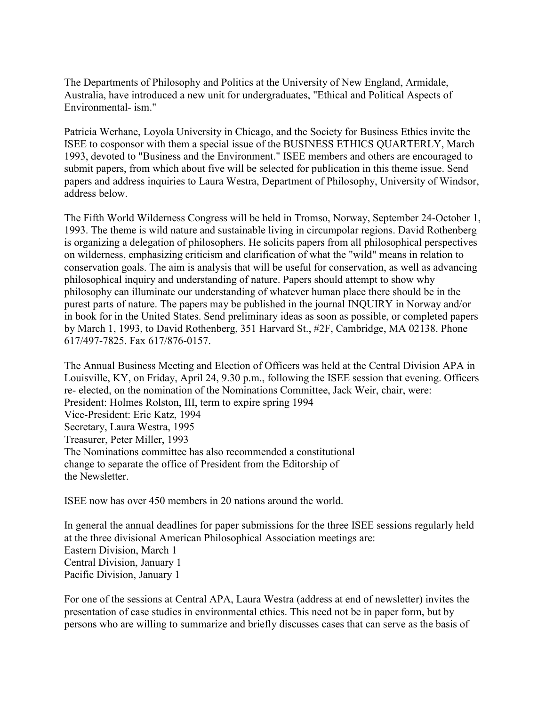The Departments of Philosophy and Politics at the University of New England, Armidale, Australia, have introduced a new unit for undergraduates, "Ethical and Political Aspects of Environmental- ism."

Patricia Werhane, Loyola University in Chicago, and the Society for Business Ethics invite the ISEE to cosponsor with them a special issue of the BUSINESS ETHICS QUARTERLY, March 1993, devoted to "Business and the Environment." ISEE members and others are encouraged to submit papers, from which about five will be selected for publication in this theme issue. Send papers and address inquiries to Laura Westra, Department of Philosophy, University of Windsor, address below.

The Fifth World Wilderness Congress will be held in Tromso, Norway, September 24-October 1, 1993. The theme is wild nature and sustainable living in circumpolar regions. David Rothenberg is organizing a delegation of philosophers. He solicits papers from all philosophical perspectives on wilderness, emphasizing criticism and clarification of what the "wild" means in relation to conservation goals. The aim is analysis that will be useful for conservation, as well as advancing philosophical inquiry and understanding of nature. Papers should attempt to show why philosophy can illuminate our understanding of whatever human place there should be in the purest parts of nature. The papers may be published in the journal INQUIRY in Norway and/or in book for in the United States. Send preliminary ideas as soon as possible, or completed papers by March 1, 1993, to David Rothenberg, 351 Harvard St., #2F, Cambridge, MA 02138. Phone 617/497-7825. Fax 617/876-0157.

The Annual Business Meeting and Election of Officers was held at the Central Division APA in Louisville, KY, on Friday, April 24, 9.30 p.m., following the ISEE session that evening. Officers re- elected, on the nomination of the Nominations Committee, Jack Weir, chair, were: President: Holmes Rolston, III, term to expire spring 1994 Vice-President: Eric Katz, 1994 Secretary, Laura Westra, 1995 Treasurer, Peter Miller, 1993 The Nominations committee has also recommended a constitutional change to separate the office of President from the Editorship of the Newsletter.

ISEE now has over 450 members in 20 nations around the world.

In general the annual deadlines for paper submissions for the three ISEE sessions regularly held at the three divisional American Philosophical Association meetings are: Eastern Division, March 1 Central Division, January 1 Pacific Division, January 1

For one of the sessions at Central APA, Laura Westra (address at end of newsletter) invites the presentation of case studies in environmental ethics. This need not be in paper form, but by persons who are willing to summarize and briefly discusses cases that can serve as the basis of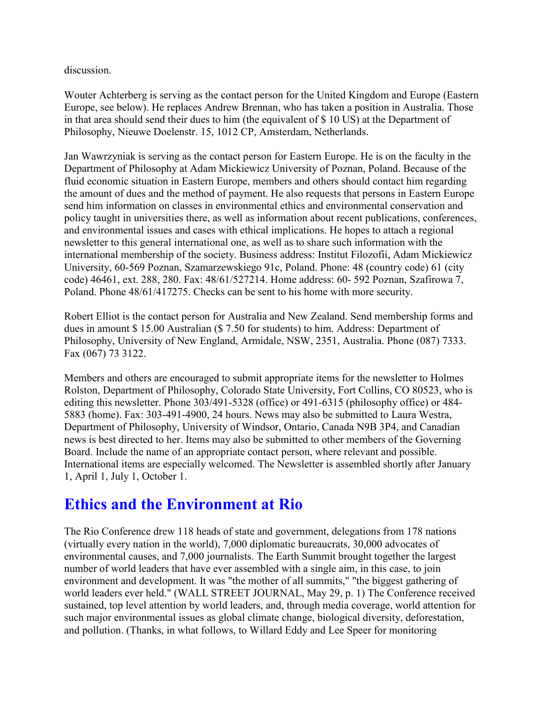discussion.

Wouter Achterberg is serving as the contact person for the United Kingdom and Europe (Eastern Europe, see below). He replaces Andrew Brennan, who has taken a position in Australia. Those in that area should send their dues to him (the equivalent of \$ 10 US) at the Department of Philosophy, Nieuwe Doelenstr. 15, 1012 CP, Amsterdam, Netherlands.

Jan Wawrzyniak is serving as the contact person for Eastern Europe. He is on the faculty in the Department of Philosophy at Adam Mickiewicz University of Poznan, Poland. Because of the fluid economic situation in Eastern Europe, members and others should contact him regarding the amount of dues and the method of payment. He also requests that persons in Eastern Europe send him information on classes in environmental ethics and environmental conservation and policy taught in universities there, as well as information about recent publications, conferences, and environmental issues and cases with ethical implications. He hopes to attach a regional newsletter to this general international one, as well as to share such information with the international membership of the society. Business address: Institut Filozofii, Adam Mickiewicz University, 60-569 Poznan, Szamarzewskiego 91c, Poland. Phone: 48 (country code) 61 (city code) 46461, ext. 288, 280. Fax: 48/61/527214. Home address: 60- 592 Poznan, Szafirowa 7, Poland. Phone 48/61/417275. Checks can be sent to his home with more security.

Robert Elliot is the contact person for Australia and New Zealand. Send membership forms and dues in amount \$ 15.00 Australian (\$ 7.50 for students) to him. Address: Department of Philosophy, University of New England, Armidale, NSW, 2351, Australia. Phone (087) 7333. Fax (067) 73 3122.

Members and others are encouraged to submit appropriate items for the newsletter to Holmes Rolston, Department of Philosophy, Colorado State University, Fort Collins, CO 80523, who is editing this newsletter. Phone 303/491-5328 (office) or 491-6315 (philosophy office) or 484- 5883 (home). Fax: 303-491-4900, 24 hours. News may also be submitted to Laura Westra, Department of Philosophy, University of Windsor, Ontario, Canada N9B 3P4, and Canadian news is best directed to her. Items may also be submitted to other members of the Governing Board. Include the name of an appropriate contact person, where relevant and possible. International items are especially welcomed. The Newsletter is assembled shortly after January 1, April 1, July 1, October 1.

### **Ethics and the Environment at Rio**

The Rio Conference drew 118 heads of state and government, delegations from 178 nations (virtually every nation in the world), 7,000 diplomatic bureaucrats, 30,000 advocates of environmental causes, and 7,000 journalists. The Earth Summit brought together the largest number of world leaders that have ever assembled with a single aim, in this case, to join environment and development. It was "the mother of all summits," "the biggest gathering of world leaders ever held." (WALL STREET JOURNAL, May 29, p. 1) The Conference received sustained, top level attention by world leaders, and, through media coverage, world attention for such major environmental issues as global climate change, biological diversity, deforestation, and pollution. (Thanks, in what follows, to Willard Eddy and Lee Speer for monitoring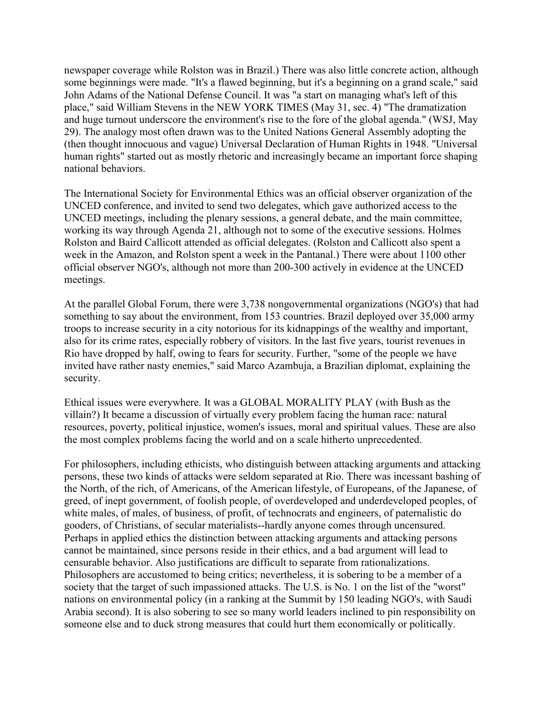newspaper coverage while Rolston was in Brazil.) There was also little concrete action, although some beginnings were made. "It's a flawed beginning, but it's a beginning on a grand scale," said John Adams of the National Defense Council. It was "a start on managing what's left of this place," said William Stevens in the NEW YORK TIMES (May 31, sec. 4) "The dramatization and huge turnout underscore the environment's rise to the fore of the global agenda." (WSJ, May 29). The analogy most often drawn was to the United Nations General Assembly adopting the (then thought innocuous and vague) Universal Declaration of Human Rights in 1948. "Universal human rights" started out as mostly rhetoric and increasingly became an important force shaping national behaviors.

The International Society for Environmental Ethics was an official observer organization of the UNCED conference, and invited to send two delegates, which gave authorized access to the UNCED meetings, including the plenary sessions, a general debate, and the main committee, working its way through Agenda 21, although not to some of the executive sessions. Holmes Rolston and Baird Callicott attended as official delegates. (Rolston and Callicott also spent a week in the Amazon, and Rolston spent a week in the Pantanal.) There were about 1100 other official observer NGO's, although not more than 200-300 actively in evidence at the UNCED meetings.

At the parallel Global Forum, there were 3,738 nongovernmental organizations (NGO's) that had something to say about the environment, from 153 countries. Brazil deployed over 35,000 army troops to increase security in a city notorious for its kidnappings of the wealthy and important, also for its crime rates, especially robbery of visitors. In the last five years, tourist revenues in Rio have dropped by half, owing to fears for security. Further, "some of the people we have invited have rather nasty enemies," said Marco Azambuja, a Brazilian diplomat, explaining the security.

Ethical issues were everywhere. It was a GLOBAL MORALITY PLAY (with Bush as the villain?) It became a discussion of virtually every problem facing the human race: natural resources, poverty, political injustice, women's issues, moral and spiritual values. These are also the most complex problems facing the world and on a scale hitherto unprecedented.

For philosophers, including ethicists, who distinguish between attacking arguments and attacking persons, these two kinds of attacks were seldom separated at Rio. There was incessant bashing of the North, of the rich, of Americans, of the American lifestyle, of Europeans, of the Japanese, of greed, of inept government, of foolish people, of overdeveloped and underdeveloped peoples, of white males, of males, of business, of profit, of technocrats and engineers, of paternalistic do gooders, of Christians, of secular materialists--hardly anyone comes through uncensured. Perhaps in applied ethics the distinction between attacking arguments and attacking persons cannot be maintained, since persons reside in their ethics, and a bad argument will lead to censurable behavior. Also justifications are difficult to separate from rationalizations. Philosophers are accustomed to being critics; nevertheless, it is sobering to be a member of a society that the target of such impassioned attacks. The U.S. is No. 1 on the list of the "worst" nations on environmental policy (in a ranking at the Summit by 150 leading NGO's, with Saudi Arabia second). It is also sobering to see so many world leaders inclined to pin responsibility on someone else and to duck strong measures that could hurt them economically or politically.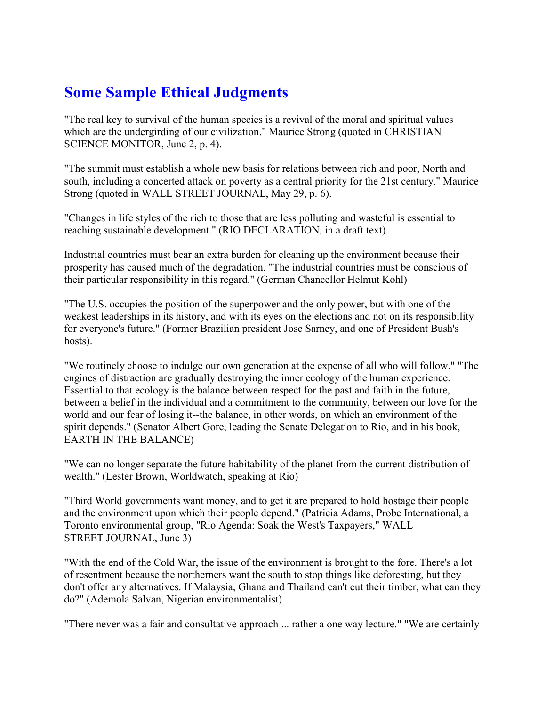### **Some Sample Ethical Judgments**

"The real key to survival of the human species is a revival of the moral and spiritual values which are the undergirding of our civilization." Maurice Strong (quoted in CHRISTIAN SCIENCE MONITOR, June 2, p. 4).

"The summit must establish a whole new basis for relations between rich and poor, North and south, including a concerted attack on poverty as a central priority for the 21st century." Maurice Strong (quoted in WALL STREET JOURNAL, May 29, p. 6).

"Changes in life styles of the rich to those that are less polluting and wasteful is essential to reaching sustainable development." (RIO DECLARATION, in a draft text).

Industrial countries must bear an extra burden for cleaning up the environment because their prosperity has caused much of the degradation. "The industrial countries must be conscious of their particular responsibility in this regard." (German Chancellor Helmut Kohl)

"The U.S. occupies the position of the superpower and the only power, but with one of the weakest leaderships in its history, and with its eyes on the elections and not on its responsibility for everyone's future." (Former Brazilian president Jose Sarney, and one of President Bush's hosts).

"We routinely choose to indulge our own generation at the expense of all who will follow." "The engines of distraction are gradually destroying the inner ecology of the human experience. Essential to that ecology is the balance between respect for the past and faith in the future, between a belief in the individual and a commitment to the community, between our love for the world and our fear of losing it--the balance, in other words, on which an environment of the spirit depends." (Senator Albert Gore, leading the Senate Delegation to Rio, and in his book, EARTH IN THE BALANCE)

"We can no longer separate the future habitability of the planet from the current distribution of wealth." (Lester Brown, Worldwatch, speaking at Rio)

"Third World governments want money, and to get it are prepared to hold hostage their people and the environment upon which their people depend." (Patricia Adams, Probe International, a Toronto environmental group, "Rio Agenda: Soak the West's Taxpayers," WALL STREET JOURNAL, June 3)

"With the end of the Cold War, the issue of the environment is brought to the fore. There's a lot of resentment because the northerners want the south to stop things like deforesting, but they don't offer any alternatives. If Malaysia, Ghana and Thailand can't cut their timber, what can they do?" (Ademola Salvan, Nigerian environmentalist)

"There never was a fair and consultative approach ... rather a one way lecture." "We are certainly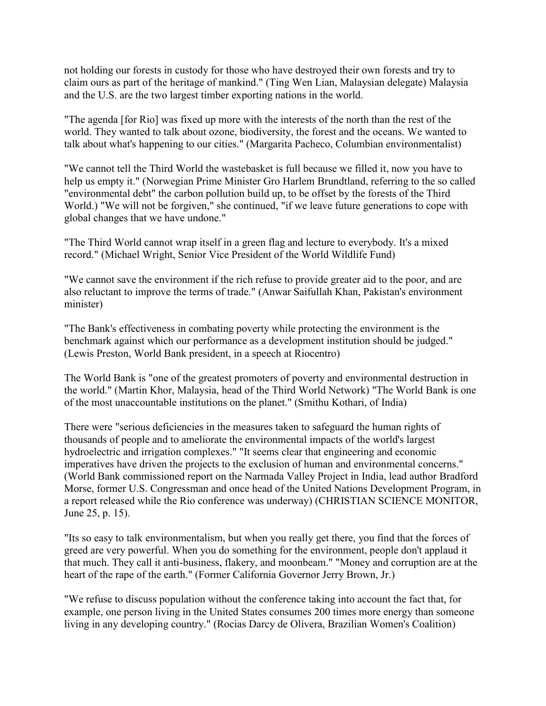not holding our forests in custody for those who have destroyed their own forests and try to claim ours as part of the heritage of mankind." (Ting Wen Lian, Malaysian delegate) Malaysia and the U.S. are the two largest timber exporting nations in the world.

"The agenda [for Rio] was fixed up more with the interests of the north than the rest of the world. They wanted to talk about ozone, biodiversity, the forest and the oceans. We wanted to talk about what's happening to our cities." (Margarita Pacheco, Columbian environmentalist)

"We cannot tell the Third World the wastebasket is full because we filled it, now you have to help us empty it." (Norwegian Prime Minister Gro Harlem Brundtland, referring to the so called "environmental debt" the carbon pollution build up, to be offset by the forests of the Third World.) "We will not be forgiven," she continued, "if we leave future generations to cope with global changes that we have undone."

"The Third World cannot wrap itself in a green flag and lecture to everybody. It's a mixed record." (Michael Wright, Senior Vice President of the World Wildlife Fund)

"We cannot save the environment if the rich refuse to provide greater aid to the poor, and are also reluctant to improve the terms of trade." (Anwar Saifullah Khan, Pakistan's environment minister)

"The Bank's effectiveness in combating poverty while protecting the environment is the benchmark against which our performance as a development institution should be judged." (Lewis Preston, World Bank president, in a speech at Riocentro)

The World Bank is "one of the greatest promoters of poverty and environmental destruction in the world." (Martin Khor, Malaysia, head of the Third World Network) "The World Bank is one of the most unaccountable institutions on the planet." (Smithu Kothari, of India)

There were "serious deficiencies in the measures taken to safeguard the human rights of thousands of people and to ameliorate the environmental impacts of the world's largest hydroelectric and irrigation complexes." "It seems clear that engineering and economic imperatives have driven the projects to the exclusion of human and environmental concerns." (World Bank commissioned report on the Narmada Valley Project in India, lead author Bradford Morse, former U.S. Congressman and once head of the United Nations Development Program, in a report released while the Rio conference was underway) (CHRISTIAN SCIENCE MONITOR, June 25, p. 15).

"Its so easy to talk environmentalism, but when you really get there, you find that the forces of greed are very powerful. When you do something for the environment, people don't applaud it that much. They call it anti-business, flakery, and moonbeam." "Money and corruption are at the heart of the rape of the earth." (Former California Governor Jerry Brown, Jr.)

"We refuse to discuss population without the conference taking into account the fact that, for example, one person living in the United States consumes 200 times more energy than someone living in any developing country." (Rocias Darcy de Olivera, Brazilian Women's Coalition)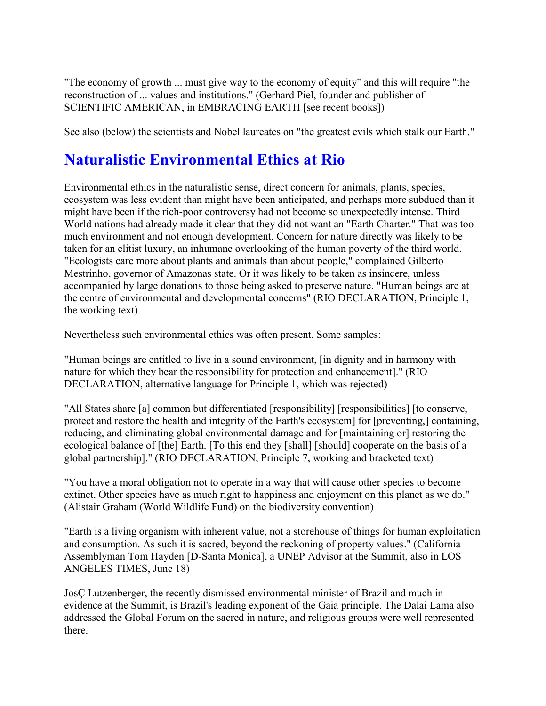"The economy of growth ... must give way to the economy of equity" and this will require "the reconstruction of ... values and institutions." (Gerhard Piel, founder and publisher of SCIENTIFIC AMERICAN, in EMBRACING EARTH [see recent books])

See also (below) the scientists and Nobel laureates on "the greatest evils which stalk our Earth."

### **Naturalistic Environmental Ethics at Rio**

Environmental ethics in the naturalistic sense, direct concern for animals, plants, species, ecosystem was less evident than might have been anticipated, and perhaps more subdued than it might have been if the rich-poor controversy had not become so unexpectedly intense. Third World nations had already made it clear that they did not want an "Earth Charter." That was too much environment and not enough development. Concern for nature directly was likely to be taken for an elitist luxury, an inhumane overlooking of the human poverty of the third world. "Ecologists care more about plants and animals than about people," complained Gilberto Mestrinho, governor of Amazonas state. Or it was likely to be taken as insincere, unless accompanied by large donations to those being asked to preserve nature. "Human beings are at the centre of environmental and developmental concerns" (RIO DECLARATION, Principle 1, the working text).

Nevertheless such environmental ethics was often present. Some samples:

"Human beings are entitled to live in a sound environment, [in dignity and in harmony with nature for which they bear the responsibility for protection and enhancement]." (RIO DECLARATION, alternative language for Principle 1, which was rejected)

"All States share [a] common but differentiated [responsibility] [responsibilities] [to conserve, protect and restore the health and integrity of the Earth's ecosystem] for [preventing,] containing, reducing, and eliminating global environmental damage and for [maintaining or] restoring the ecological balance of [the] Earth. [To this end they [shall] [should] cooperate on the basis of a global partnership]." (RIO DECLARATION, Principle 7, working and bracketed text)

"You have a moral obligation not to operate in a way that will cause other species to become extinct. Other species have as much right to happiness and enjoyment on this planet as we do." (Alistair Graham (World Wildlife Fund) on the biodiversity convention)

"Earth is a living organism with inherent value, not a storehouse of things for human exploitation and consumption. As such it is sacred, beyond the reckoning of property values." (California Assemblyman Tom Hayden [D-Santa Monica], a UNEP Advisor at the Summit, also in LOS ANGELES TIMES, June 18)

JosÇ Lutzenberger, the recently dismissed environmental minister of Brazil and much in evidence at the Summit, is Brazil's leading exponent of the Gaia principle. The Dalai Lama also addressed the Global Forum on the sacred in nature, and religious groups were well represented there.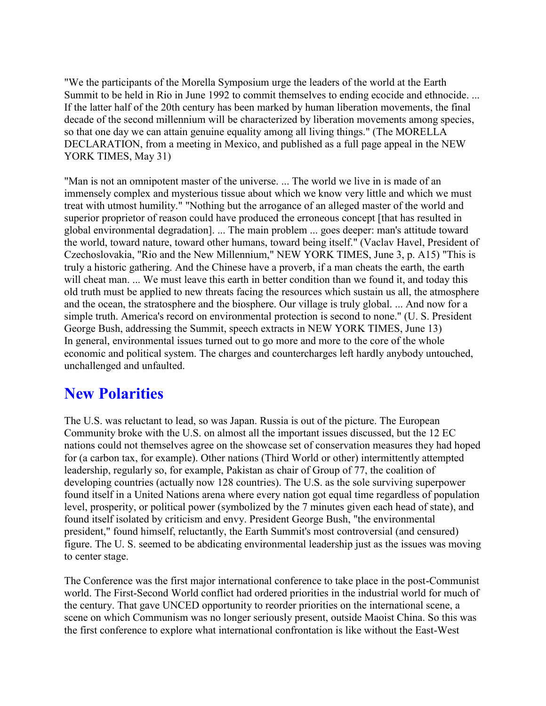"We the participants of the Morella Symposium urge the leaders of the world at the Earth Summit to be held in Rio in June 1992 to commit themselves to ending ecocide and ethnocide. ... If the latter half of the 20th century has been marked by human liberation movements, the final decade of the second millennium will be characterized by liberation movements among species, so that one day we can attain genuine equality among all living things." (The MORELLA DECLARATION, from a meeting in Mexico, and published as a full page appeal in the NEW YORK TIMES, May 31)

"Man is not an omnipotent master of the universe. ... The world we live in is made of an immensely complex and mysterious tissue about which we know very little and which we must treat with utmost humility." "Nothing but the arrogance of an alleged master of the world and superior proprietor of reason could have produced the erroneous concept [that has resulted in global environmental degradation]. ... The main problem ... goes deeper: man's attitude toward the world, toward nature, toward other humans, toward being itself." (Vaclav Havel, President of Czechoslovakia, "Rio and the New Millennium," NEW YORK TIMES, June 3, p. A15) "This is truly a historic gathering. And the Chinese have a proverb, if a man cheats the earth, the earth will cheat man. ... We must leave this earth in better condition than we found it, and today this old truth must be applied to new threats facing the resources which sustain us all, the atmosphere and the ocean, the stratosphere and the biosphere. Our village is truly global. ... And now for a simple truth. America's record on environmental protection is second to none." (U. S. President George Bush, addressing the Summit, speech extracts in NEW YORK TIMES, June 13) In general, environmental issues turned out to go more and more to the core of the whole economic and political system. The charges and countercharges left hardly anybody untouched, unchallenged and unfaulted.

### **New Polarities**

The U.S. was reluctant to lead, so was Japan. Russia is out of the picture. The European Community broke with the U.S. on almost all the important issues discussed, but the 12 EC nations could not themselves agree on the showcase set of conservation measures they had hoped for (a carbon tax, for example). Other nations (Third World or other) intermittently attempted leadership, regularly so, for example, Pakistan as chair of Group of 77, the coalition of developing countries (actually now 128 countries). The U.S. as the sole surviving superpower found itself in a United Nations arena where every nation got equal time regardless of population level, prosperity, or political power (symbolized by the 7 minutes given each head of state), and found itself isolated by criticism and envy. President George Bush, "the environmental president," found himself, reluctantly, the Earth Summit's most controversial (and censured) figure. The U. S. seemed to be abdicating environmental leadership just as the issues was moving to center stage.

The Conference was the first major international conference to take place in the post-Communist world. The First-Second World conflict had ordered priorities in the industrial world for much of the century. That gave UNCED opportunity to reorder priorities on the international scene, a scene on which Communism was no longer seriously present, outside Maoist China. So this was the first conference to explore what international confrontation is like without the East-West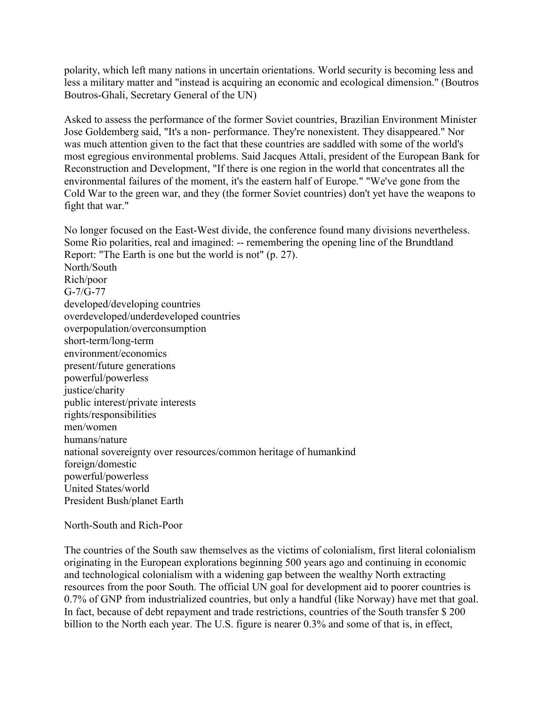polarity, which left many nations in uncertain orientations. World security is becoming less and less a military matter and "instead is acquiring an economic and ecological dimension." (Boutros Boutros-Ghali, Secretary General of the UN)

Asked to assess the performance of the former Soviet countries, Brazilian Environment Minister Jose Goldemberg said, "It's a non- performance. They're nonexistent. They disappeared." Nor was much attention given to the fact that these countries are saddled with some of the world's most egregious environmental problems. Said Jacques Attali, president of the European Bank for Reconstruction and Development, "If there is one region in the world that concentrates all the environmental failures of the moment, it's the eastern half of Europe." "We've gone from the Cold War to the green war, and they (the former Soviet countries) don't yet have the weapons to fight that war."

No longer focused on the East-West divide, the conference found many divisions nevertheless. Some Rio polarities, real and imagined: -- remembering the opening line of the Brundtland Report: "The Earth is one but the world is not" (p. 27). North/South Rich/poor G-7/G-77 developed/developing countries overdeveloped/underdeveloped countries overpopulation/overconsumption short-term/long-term environment/economics present/future generations powerful/powerless justice/charity public interest/private interests rights/responsibilities men/women humans/nature national sovereignty over resources/common heritage of humankind foreign/domestic powerful/powerless United States/world President Bush/planet Earth

North-South and Rich-Poor

The countries of the South saw themselves as the victims of colonialism, first literal colonialism originating in the European explorations beginning 500 years ago and continuing in economic and technological colonialism with a widening gap between the wealthy North extracting resources from the poor South. The official UN goal for development aid to poorer countries is 0.7% of GNP from industrialized countries, but only a handful (like Norway) have met that goal. In fact, because of debt repayment and trade restrictions, countries of the South transfer \$ 200 billion to the North each year. The U.S. figure is nearer 0.3% and some of that is, in effect,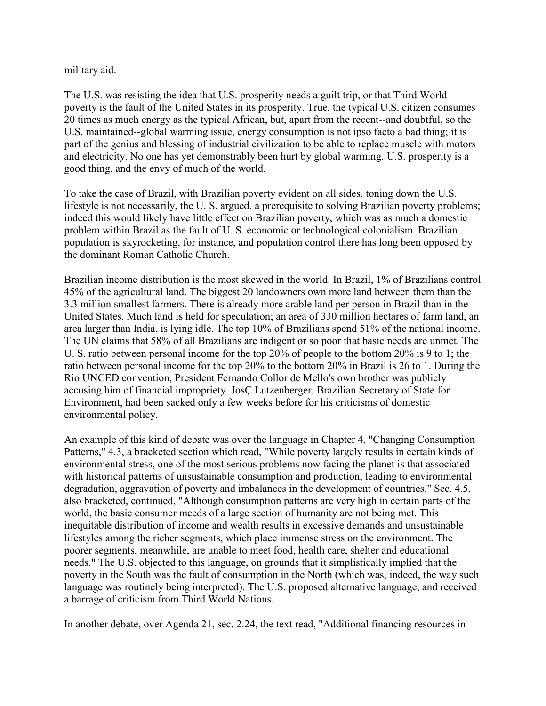military aid.

The U.S. was resisting the idea that U.S. prosperity needs a guilt trip, or that Third World poverty is the fault of the United States in its prosperity. True, the typical U.S. citizen consumes 20 times as much energy as the typical African, but, apart from the recent--and doubtful, so the U.S. maintained--global warming issue, energy consumption is not ipso facto a bad thing; it is part of the genius and blessing of industrial civilization to be able to replace muscle with motors and electricity. No one has yet demonstrably been hurt by global warming. U.S. prosperity is a good thing, and the envy of much of the world.

To take the case of Brazil, with Brazilian poverty evident on all sides, toning down the U.S. lifestyle is not necessarily, the U. S. argued, a prerequisite to solving Brazilian poverty problems; indeed this would likely have little effect on Brazilian poverty, which was as much a domestic problem within Brazil as the fault of U. S. economic or technological colonialism. Brazilian population is skyrocketing, for instance, and population control there has long been opposed by the dominant Roman Catholic Church.

Brazilian income distribution is the most skewed in the world. In Brazil, 1% of Brazilians control 45% of the agricultural land. The biggest 20 landowners own more land between them than the 3.3 million smallest farmers. There is already more arable land per person in Brazil than in the United States. Much land is held for speculation; an area of 330 million hectares of farm land, an area larger than India, is lying idle. The top 10% of Brazilians spend 51% of the national income. The UN claims that 58% of all Brazilians are indigent or so poor that basic needs are unmet. The U. S. ratio between personal income for the top 20% of people to the bottom 20% is 9 to 1; the ratio between personal income for the top 20% to the bottom 20% in Brazil is 26 to 1. During the Rio UNCED convention, President Fernando Collor de Mello's own brother was publicly accusing him of financial impropriety. JosÇ Lutzenberger, Brazilian Secretary of State for Environment, had been sacked only a few weeks before for his criticisms of domestic environmental policy.

An example of this kind of debate was over the language in Chapter 4, "Changing Consumption Patterns," 4.3, a bracketed section which read, "While poverty largely results in certain kinds of environmental stress, one of the most serious problems now facing the planet is that associated with historical patterns of unsustainable consumption and production, leading to environmental degradation, aggravation of poverty and imbalances in the development of countries." Sec. 4.5, also bracketed, continued, "Although consumption patterns are very high in certain parts of the world, the basic consumer meeds of a large section of humanity are not being met. This inequitable distribution of income and wealth results in excessive demands and unsustainable lifestyles among the richer segments, which place immense stress on the environment. The poorer segments, meanwhile, are unable to meet food, health care, shelter and educational needs." The U.S. objected to this language, on grounds that it simplistically implied that the poverty in the South was the fault of consumption in the North (which was, indeed, the way such language was routinely being interpreted). The U.S. proposed alternative language, and received a barrage of criticism from Third World Nations.

In another debate, over Agenda 21, sec. 2.24, the text read, "Additional financing resources in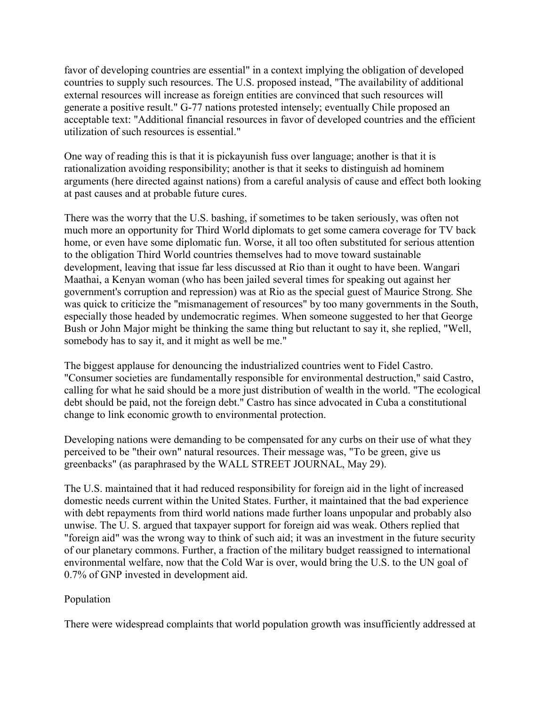favor of developing countries are essential" in a context implying the obligation of developed countries to supply such resources. The U.S. proposed instead, "The availability of additional external resources will increase as foreign entities are convinced that such resources will generate a positive result." G-77 nations protested intensely; eventually Chile proposed an acceptable text: "Additional financial resources in favor of developed countries and the efficient utilization of such resources is essential."

One way of reading this is that it is pickayunish fuss over language; another is that it is rationalization avoiding responsibility; another is that it seeks to distinguish ad hominem arguments (here directed against nations) from a careful analysis of cause and effect both looking at past causes and at probable future cures.

There was the worry that the U.S. bashing, if sometimes to be taken seriously, was often not much more an opportunity for Third World diplomats to get some camera coverage for TV back home, or even have some diplomatic fun. Worse, it all too often substituted for serious attention to the obligation Third World countries themselves had to move toward sustainable development, leaving that issue far less discussed at Rio than it ought to have been. Wangari Maathai, a Kenyan woman (who has been jailed several times for speaking out against her government's corruption and repression) was at Rio as the special guest of Maurice Strong. She was quick to criticize the "mismanagement of resources" by too many governments in the South, especially those headed by undemocratic regimes. When someone suggested to her that George Bush or John Major might be thinking the same thing but reluctant to say it, she replied, "Well, somebody has to say it, and it might as well be me."

The biggest applause for denouncing the industrialized countries went to Fidel Castro. "Consumer societies are fundamentally responsible for environmental destruction," said Castro, calling for what he said should be a more just distribution of wealth in the world. "The ecological debt should be paid, not the foreign debt." Castro has since advocated in Cuba a constitutional change to link economic growth to environmental protection.

Developing nations were demanding to be compensated for any curbs on their use of what they perceived to be "their own" natural resources. Their message was, "To be green, give us greenbacks" (as paraphrased by the WALL STREET JOURNAL, May 29).

The U.S. maintained that it had reduced responsibility for foreign aid in the light of increased domestic needs current within the United States. Further, it maintained that the bad experience with debt repayments from third world nations made further loans unpopular and probably also unwise. The U. S. argued that taxpayer support for foreign aid was weak. Others replied that "foreign aid" was the wrong way to think of such aid; it was an investment in the future security of our planetary commons. Further, a fraction of the military budget reassigned to international environmental welfare, now that the Cold War is over, would bring the U.S. to the UN goal of 0.7% of GNP invested in development aid.

#### Population

There were widespread complaints that world population growth was insufficiently addressed at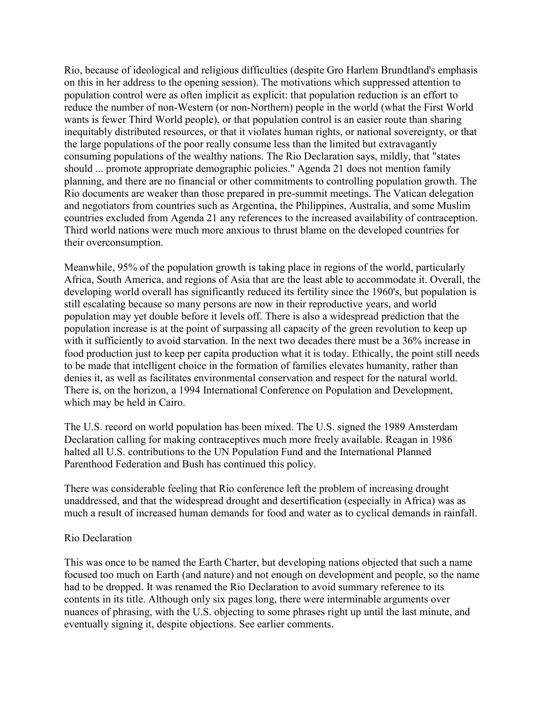Rio, because of ideological and religious difficulties (despite Gro Harlem Brundtland's emphasis on this in her address to the opening session). The motivations which suppressed attention to population control were as often implicit as explicit: that population reduction is an effort to reduce the number of non-Western (or non-Northern) people in the world (what the First World wants is fewer Third World people), or that population control is an easier route than sharing inequitably distributed resources, or that it violates human rights, or national sovereignty, or that the large populations of the poor really consume less than the limited but extravagantly consuming populations of the wealthy nations. The Rio Declaration says, mildly, that "states should ... promote appropriate demographic policies." Agenda 21 does not mention family planning, and there are no financial or other commitments to controlling population growth. The Rio documents are weaker than those prepared in pre-summit meetings. The Vatican delegation and negotiators from countries such as Argentina, the Philippines, Australia, and some Muslim countries excluded from Agenda 21 any references to the increased availability of contraception. Third world nations were much more anxious to thrust blame on the developed countries for their overconsumption.

Meanwhile, 95% of the population growth is taking place in regions of the world, particularly Africa, South America, and regions of Asia that are the least able to accommodate it. Overall, the developing world overall has significantly reduced its fertility since the 1960's, but population is still escalating because so many persons are now in their reproductive years, and world population may yet double before it levels off. There is also a widespread prediction that the population increase is at the point of surpassing all capacity of the green revolution to keep up with it sufficiently to avoid starvation. In the next two decades there must be a 36% increase in food production just to keep per capita production what it is today. Ethically, the point still needs to be made that intelligent choice in the formation of families elevates humanity, rather than denies it, as well as facilitates environmental conservation and respect for the natural world. There is, on the horizon, a 1994 International Conference on Population and Development, which may be held in Cairo.

The U.S. record on world population has been mixed. The U.S. signed the 1989 Amsterdam Declaration calling for making contraceptives much more freely available. Reagan in 1986 halted all U.S. contributions to the UN Population Fund and the International Planned Parenthood Federation and Bush has continued this policy.

There was considerable feeling that Rio conference left the problem of increasing drought unaddressed, and that the widespread drought and desertification (especially in Africa) was as much a result of increased human demands for food and water as to cyclical demands in rainfall.

#### Rio Declaration

This was once to be named the Earth Charter, but developing nations objected that such a name focused too much on Earth (and nature) and not enough on development and people, so the name had to be dropped. It was renamed the Rio Declaration to avoid summary reference to its contents in its title. Although only six pages long, there were interminable arguments over nuances of phrasing, with the U.S. objecting to some phrases right up until the last minute, and eventually signing it, despite objections. See earlier comments.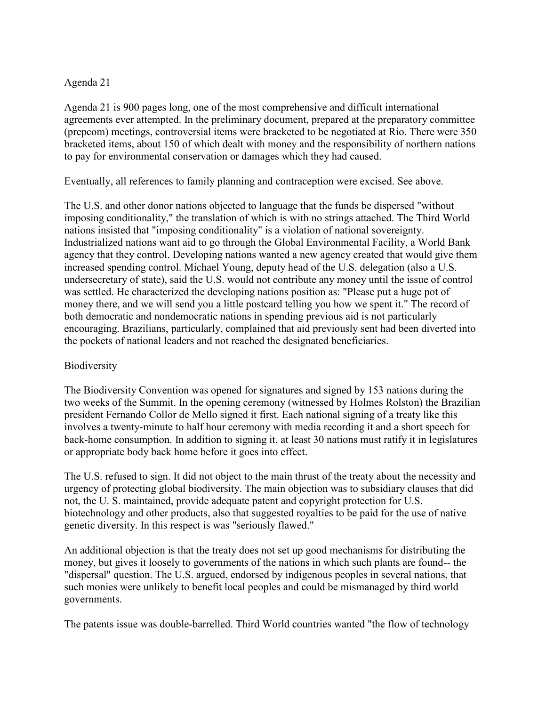#### Agenda 21

Agenda 21 is 900 pages long, one of the most comprehensive and difficult international agreements ever attempted. In the preliminary document, prepared at the preparatory committee (prepcom) meetings, controversial items were bracketed to be negotiated at Rio. There were 350 bracketed items, about 150 of which dealt with money and the responsibility of northern nations to pay for environmental conservation or damages which they had caused.

Eventually, all references to family planning and contraception were excised. See above.

The U.S. and other donor nations objected to language that the funds be dispersed "without imposing conditionality," the translation of which is with no strings attached. The Third World nations insisted that "imposing conditionality" is a violation of national sovereignty. Industrialized nations want aid to go through the Global Environmental Facility, a World Bank agency that they control. Developing nations wanted a new agency created that would give them increased spending control. Michael Young, deputy head of the U.S. delegation (also a U.S. undersecretary of state), said the U.S. would not contribute any money until the issue of control was settled. He characterized the developing nations position as: "Please put a huge pot of money there, and we will send you a little postcard telling you how we spent it." The record of both democratic and nondemocratic nations in spending previous aid is not particularly encouraging. Brazilians, particularly, complained that aid previously sent had been diverted into the pockets of national leaders and not reached the designated beneficiaries.

#### **Biodiversity**

The Biodiversity Convention was opened for signatures and signed by 153 nations during the two weeks of the Summit. In the opening ceremony (witnessed by Holmes Rolston) the Brazilian president Fernando Collor de Mello signed it first. Each national signing of a treaty like this involves a twenty-minute to half hour ceremony with media recording it and a short speech for back-home consumption. In addition to signing it, at least 30 nations must ratify it in legislatures or appropriate body back home before it goes into effect.

The U.S. refused to sign. It did not object to the main thrust of the treaty about the necessity and urgency of protecting global biodiversity. The main objection was to subsidiary clauses that did not, the U. S. maintained, provide adequate patent and copyright protection for U.S. biotechnology and other products, also that suggested royalties to be paid for the use of native genetic diversity. In this respect is was "seriously flawed."

An additional objection is that the treaty does not set up good mechanisms for distributing the money, but gives it loosely to governments of the nations in which such plants are found-- the "dispersal" question. The U.S. argued, endorsed by indigenous peoples in several nations, that such monies were unlikely to benefit local peoples and could be mismanaged by third world governments.

The patents issue was double-barrelled. Third World countries wanted "the flow of technology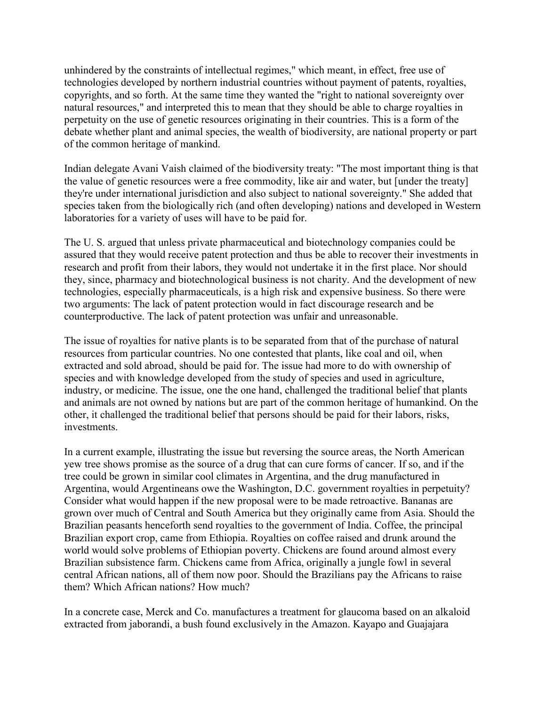unhindered by the constraints of intellectual regimes," which meant, in effect, free use of technologies developed by northern industrial countries without payment of patents, royalties, copyrights, and so forth. At the same time they wanted the "right to national sovereignty over natural resources," and interpreted this to mean that they should be able to charge royalties in perpetuity on the use of genetic resources originating in their countries. This is a form of the debate whether plant and animal species, the wealth of biodiversity, are national property or part of the common heritage of mankind.

Indian delegate Avani Vaish claimed of the biodiversity treaty: "The most important thing is that the value of genetic resources were a free commodity, like air and water, but [under the treaty] they're under international jurisdiction and also subject to national sovereignty." She added that species taken from the biologically rich (and often developing) nations and developed in Western laboratories for a variety of uses will have to be paid for.

The U. S. argued that unless private pharmaceutical and biotechnology companies could be assured that they would receive patent protection and thus be able to recover their investments in research and profit from their labors, they would not undertake it in the first place. Nor should they, since, pharmacy and biotechnological business is not charity. And the development of new technologies, especially pharmaceuticals, is a high risk and expensive business. So there were two arguments: The lack of patent protection would in fact discourage research and be counterproductive. The lack of patent protection was unfair and unreasonable.

The issue of royalties for native plants is to be separated from that of the purchase of natural resources from particular countries. No one contested that plants, like coal and oil, when extracted and sold abroad, should be paid for. The issue had more to do with ownership of species and with knowledge developed from the study of species and used in agriculture, industry, or medicine. The issue, one the one hand, challenged the traditional belief that plants and animals are not owned by nations but are part of the common heritage of humankind. On the other, it challenged the traditional belief that persons should be paid for their labors, risks, investments.

In a current example, illustrating the issue but reversing the source areas, the North American yew tree shows promise as the source of a drug that can cure forms of cancer. If so, and if the tree could be grown in similar cool climates in Argentina, and the drug manufactured in Argentina, would Argentineans owe the Washington, D.C. government royalties in perpetuity? Consider what would happen if the new proposal were to be made retroactive. Bananas are grown over much of Central and South America but they originally came from Asia. Should the Brazilian peasants henceforth send royalties to the government of India. Coffee, the principal Brazilian export crop, came from Ethiopia. Royalties on coffee raised and drunk around the world would solve problems of Ethiopian poverty. Chickens are found around almost every Brazilian subsistence farm. Chickens came from Africa, originally a jungle fowl in several central African nations, all of them now poor. Should the Brazilians pay the Africans to raise them? Which African nations? How much?

In a concrete case, Merck and Co. manufactures a treatment for glaucoma based on an alkaloid extracted from jaborandi, a bush found exclusively in the Amazon. Kayapo and Guajajara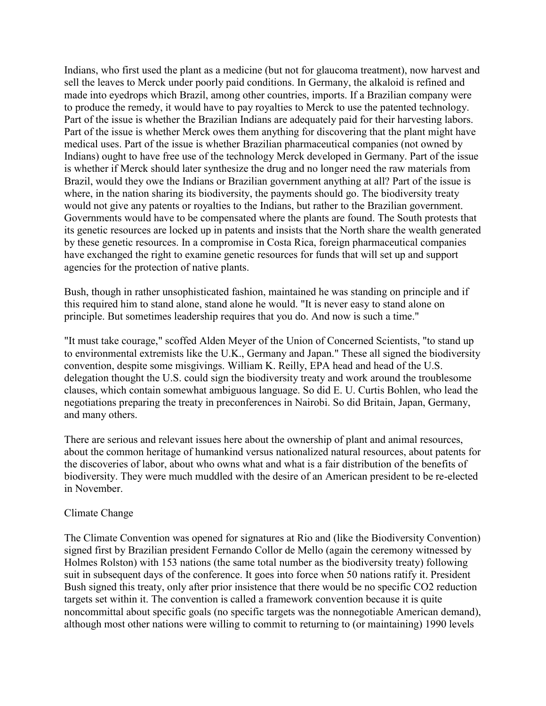Indians, who first used the plant as a medicine (but not for glaucoma treatment), now harvest and sell the leaves to Merck under poorly paid conditions. In Germany, the alkaloid is refined and made into eyedrops which Brazil, among other countries, imports. If a Brazilian company were to produce the remedy, it would have to pay royalties to Merck to use the patented technology. Part of the issue is whether the Brazilian Indians are adequately paid for their harvesting labors. Part of the issue is whether Merck owes them anything for discovering that the plant might have medical uses. Part of the issue is whether Brazilian pharmaceutical companies (not owned by Indians) ought to have free use of the technology Merck developed in Germany. Part of the issue is whether if Merck should later synthesize the drug and no longer need the raw materials from Brazil, would they owe the Indians or Brazilian government anything at all? Part of the issue is where, in the nation sharing its biodiversity, the payments should go. The biodiversity treaty would not give any patents or royalties to the Indians, but rather to the Brazilian government. Governments would have to be compensated where the plants are found. The South protests that its genetic resources are locked up in patents and insists that the North share the wealth generated by these genetic resources. In a compromise in Costa Rica, foreign pharmaceutical companies have exchanged the right to examine genetic resources for funds that will set up and support agencies for the protection of native plants.

Bush, though in rather unsophisticated fashion, maintained he was standing on principle and if this required him to stand alone, stand alone he would. "It is never easy to stand alone on principle. But sometimes leadership requires that you do. And now is such a time."

"It must take courage," scoffed Alden Meyer of the Union of Concerned Scientists, "to stand up to environmental extremists like the U.K., Germany and Japan." These all signed the biodiversity convention, despite some misgivings. William K. Reilly, EPA head and head of the U.S. delegation thought the U.S. could sign the biodiversity treaty and work around the troublesome clauses, which contain somewhat ambiguous language. So did E. U. Curtis Bohlen, who lead the negotiations preparing the treaty in preconferences in Nairobi. So did Britain, Japan, Germany, and many others.

There are serious and relevant issues here about the ownership of plant and animal resources, about the common heritage of humankind versus nationalized natural resources, about patents for the discoveries of labor, about who owns what and what is a fair distribution of the benefits of biodiversity. They were much muddled with the desire of an American president to be re-elected in November.

#### Climate Change

The Climate Convention was opened for signatures at Rio and (like the Biodiversity Convention) signed first by Brazilian president Fernando Collor de Mello (again the ceremony witnessed by Holmes Rolston) with 153 nations (the same total number as the biodiversity treaty) following suit in subsequent days of the conference. It goes into force when 50 nations ratify it. President Bush signed this treaty, only after prior insistence that there would be no specific CO2 reduction targets set within it. The convention is called a framework convention because it is quite noncommittal about specific goals (no specific targets was the nonnegotiable American demand), although most other nations were willing to commit to returning to (or maintaining) 1990 levels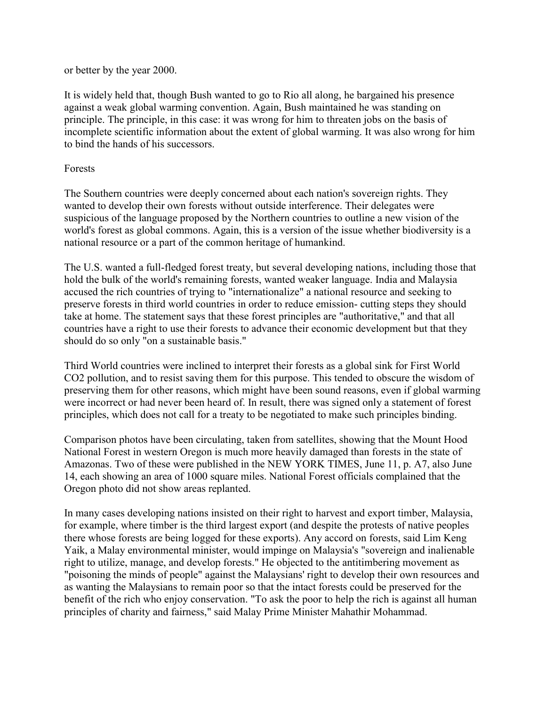or better by the year 2000.

It is widely held that, though Bush wanted to go to Rio all along, he bargained his presence against a weak global warming convention. Again, Bush maintained he was standing on principle. The principle, in this case: it was wrong for him to threaten jobs on the basis of incomplete scientific information about the extent of global warming. It was also wrong for him to bind the hands of his successors.

#### Forests

The Southern countries were deeply concerned about each nation's sovereign rights. They wanted to develop their own forests without outside interference. Their delegates were suspicious of the language proposed by the Northern countries to outline a new vision of the world's forest as global commons. Again, this is a version of the issue whether biodiversity is a national resource or a part of the common heritage of humankind.

The U.S. wanted a full-fledged forest treaty, but several developing nations, including those that hold the bulk of the world's remaining forests, wanted weaker language. India and Malaysia accused the rich countries of trying to "internationalize" a national resource and seeking to preserve forests in third world countries in order to reduce emission- cutting steps they should take at home. The statement says that these forest principles are "authoritative," and that all countries have a right to use their forests to advance their economic development but that they should do so only "on a sustainable basis."

Third World countries were inclined to interpret their forests as a global sink for First World CO2 pollution, and to resist saving them for this purpose. This tended to obscure the wisdom of preserving them for other reasons, which might have been sound reasons, even if global warming were incorrect or had never been heard of. In result, there was signed only a statement of forest principles, which does not call for a treaty to be negotiated to make such principles binding.

Comparison photos have been circulating, taken from satellites, showing that the Mount Hood National Forest in western Oregon is much more heavily damaged than forests in the state of Amazonas. Two of these were published in the NEW YORK TIMES, June 11, p. A7, also June 14, each showing an area of 1000 square miles. National Forest officials complained that the Oregon photo did not show areas replanted.

In many cases developing nations insisted on their right to harvest and export timber, Malaysia, for example, where timber is the third largest export (and despite the protests of native peoples there whose forests are being logged for these exports). Any accord on forests, said Lim Keng Yaik, a Malay environmental minister, would impinge on Malaysia's "sovereign and inalienable right to utilize, manage, and develop forests." He objected to the antitimbering movement as "poisoning the minds of people" against the Malaysians' right to develop their own resources and as wanting the Malaysians to remain poor so that the intact forests could be preserved for the benefit of the rich who enjoy conservation. "To ask the poor to help the rich is against all human principles of charity and fairness," said Malay Prime Minister Mahathir Mohammad.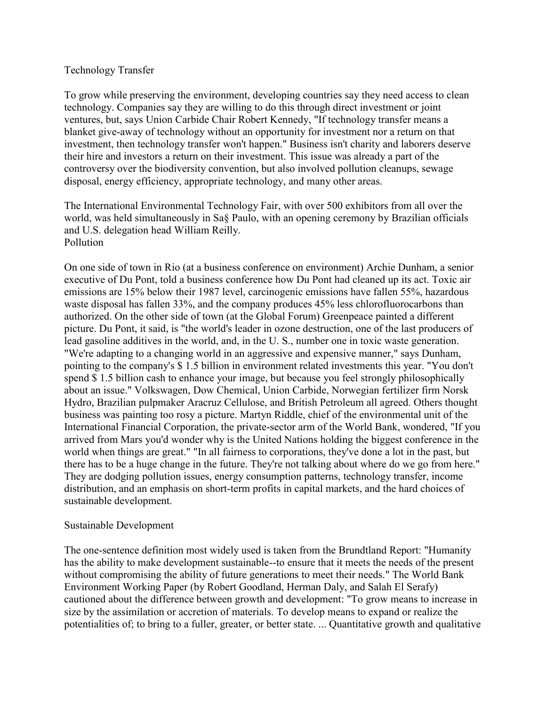#### Technology Transfer

To grow while preserving the environment, developing countries say they need access to clean technology. Companies say they are willing to do this through direct investment or joint ventures, but, says Union Carbide Chair Robert Kennedy, "If technology transfer means a blanket give-away of technology without an opportunity for investment nor a return on that investment, then technology transfer won't happen." Business isn't charity and laborers deserve their hire and investors a return on their investment. This issue was already a part of the controversy over the biodiversity convention, but also involved pollution cleanups, sewage disposal, energy efficiency, appropriate technology, and many other areas.

The International Environmental Technology Fair, with over 500 exhibitors from all over the world, was held simultaneously in Sa§ Paulo, with an opening ceremony by Brazilian officials and U.S. delegation head William Reilly. Pollution

On one side of town in Rio (at a business conference on environment) Archie Dunham, a senior executive of Du Pont, told a business conference how Du Pont had cleaned up its act. Toxic air emissions are 15% below their 1987 level, carcinogenic emissions have fallen 55%, hazardous waste disposal has fallen 33%, and the company produces 45% less chlorofluorocarbons than authorized. On the other side of town (at the Global Forum) Greenpeace painted a different picture. Du Pont, it said, is "the world's leader in ozone destruction, one of the last producers of lead gasoline additives in the world, and, in the U. S., number one in toxic waste generation. "We're adapting to a changing world in an aggressive and expensive manner," says Dunham, pointing to the company's \$ 1.5 billion in environment related investments this year. "You don't spend \$ 1.5 billion cash to enhance your image, but because you feel strongly philosophically about an issue." Volkswagen, Dow Chemical, Union Carbide, Norwegian fertilizer firm Norsk Hydro, Brazilian pulpmaker Aracruz Cellulose, and British Petroleum all agreed. Others thought business was painting too rosy a picture. Martyn Riddle, chief of the environmental unit of the International Financial Corporation, the private-sector arm of the World Bank, wondered, "If you arrived from Mars you'd wonder why is the United Nations holding the biggest conference in the world when things are great." "In all fairness to corporations, they've done a lot in the past, but there has to be a huge change in the future. They're not talking about where do we go from here." They are dodging pollution issues, energy consumption patterns, technology transfer, income distribution, and an emphasis on short-term profits in capital markets, and the hard choices of sustainable development.

#### Sustainable Development

The one-sentence definition most widely used is taken from the Brundtland Report: "Humanity has the ability to make development sustainable--to ensure that it meets the needs of the present without compromising the ability of future generations to meet their needs." The World Bank Environment Working Paper (by Robert Goodland, Herman Daly, and Salah El Serafy) cautioned about the difference between growth and development: "To grow means to increase in size by the assimilation or accretion of materials. To develop means to expand or realize the potentialities of; to bring to a fuller, greater, or better state. ... Quantitative growth and qualitative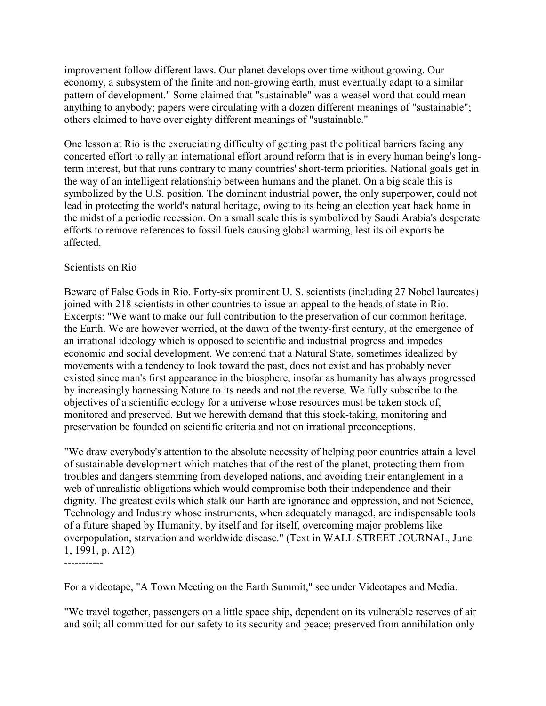improvement follow different laws. Our planet develops over time without growing. Our economy, a subsystem of the finite and non-growing earth, must eventually adapt to a similar pattern of development." Some claimed that "sustainable" was a weasel word that could mean anything to anybody; papers were circulating with a dozen different meanings of "sustainable"; others claimed to have over eighty different meanings of "sustainable."

One lesson at Rio is the excruciating difficulty of getting past the political barriers facing any concerted effort to rally an international effort around reform that is in every human being's longterm interest, but that runs contrary to many countries' short-term priorities. National goals get in the way of an intelligent relationship between humans and the planet. On a big scale this is symbolized by the U.S. position. The dominant industrial power, the only superpower, could not lead in protecting the world's natural heritage, owing to its being an election year back home in the midst of a periodic recession. On a small scale this is symbolized by Saudi Arabia's desperate efforts to remove references to fossil fuels causing global warming, lest its oil exports be affected.

#### Scientists on Rio

Beware of False Gods in Rio. Forty-six prominent U. S. scientists (including 27 Nobel laureates) joined with 218 scientists in other countries to issue an appeal to the heads of state in Rio. Excerpts: "We want to make our full contribution to the preservation of our common heritage, the Earth. We are however worried, at the dawn of the twenty-first century, at the emergence of an irrational ideology which is opposed to scientific and industrial progress and impedes economic and social development. We contend that a Natural State, sometimes idealized by movements with a tendency to look toward the past, does not exist and has probably never existed since man's first appearance in the biosphere, insofar as humanity has always progressed by increasingly harnessing Nature to its needs and not the reverse. We fully subscribe to the objectives of a scientific ecology for a universe whose resources must be taken stock of, monitored and preserved. But we herewith demand that this stock-taking, monitoring and preservation be founded on scientific criteria and not on irrational preconceptions.

"We draw everybody's attention to the absolute necessity of helping poor countries attain a level of sustainable development which matches that of the rest of the planet, protecting them from troubles and dangers stemming from developed nations, and avoiding their entanglement in a web of unrealistic obligations which would compromise both their independence and their dignity. The greatest evils which stalk our Earth are ignorance and oppression, and not Science, Technology and Industry whose instruments, when adequately managed, are indispensable tools of a future shaped by Humanity, by itself and for itself, overcoming major problems like overpopulation, starvation and worldwide disease." (Text in WALL STREET JOURNAL, June 1, 1991, p. A12)

-----------

For a videotape, "A Town Meeting on the Earth Summit," see under Videotapes and Media.

"We travel together, passengers on a little space ship, dependent on its vulnerable reserves of air and soil; all committed for our safety to its security and peace; preserved from annihilation only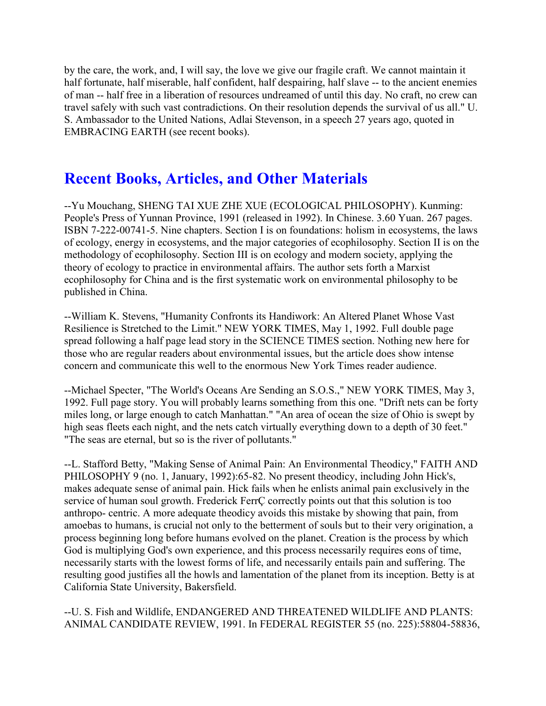by the care, the work, and, I will say, the love we give our fragile craft. We cannot maintain it half fortunate, half miserable, half confident, half despairing, half slave -- to the ancient enemies of man -- half free in a liberation of resources undreamed of until this day. No craft, no crew can travel safely with such vast contradictions. On their resolution depends the survival of us all." U. S. Ambassador to the United Nations, Adlai Stevenson, in a speech 27 years ago, quoted in EMBRACING EARTH (see recent books).

### **Recent Books, Articles, and Other Materials**

--Yu Mouchang, SHENG TAI XUE ZHE XUE (ECOLOGICAL PHILOSOPHY). Kunming: People's Press of Yunnan Province, 1991 (released in 1992). In Chinese. 3.60 Yuan. 267 pages. ISBN 7-222-00741-5. Nine chapters. Section I is on foundations: holism in ecosystems, the laws of ecology, energy in ecosystems, and the major categories of ecophilosophy. Section II is on the methodology of ecophilosophy. Section III is on ecology and modern society, applying the theory of ecology to practice in environmental affairs. The author sets forth a Marxist ecophilosophy for China and is the first systematic work on environmental philosophy to be published in China.

--William K. Stevens, "Humanity Confronts its Handiwork: An Altered Planet Whose Vast Resilience is Stretched to the Limit." NEW YORK TIMES, May 1, 1992. Full double page spread following a half page lead story in the SCIENCE TIMES section. Nothing new here for those who are regular readers about environmental issues, but the article does show intense concern and communicate this well to the enormous New York Times reader audience.

--Michael Specter, "The World's Oceans Are Sending an S.O.S.," NEW YORK TIMES, May 3, 1992. Full page story. You will probably learns something from this one. "Drift nets can be forty miles long, or large enough to catch Manhattan." "An area of ocean the size of Ohio is swept by high seas fleets each night, and the nets catch virtually everything down to a depth of 30 feet." "The seas are eternal, but so is the river of pollutants."

--L. Stafford Betty, "Making Sense of Animal Pain: An Environmental Theodicy," FAITH AND PHILOSOPHY 9 (no. 1, January, 1992):65-82. No present theodicy, including John Hick's, makes adequate sense of animal pain. Hick fails when he enlists animal pain exclusively in the service of human soul growth. Frederick FerrÇ correctly points out that this solution is too anthropo- centric. A more adequate theodicy avoids this mistake by showing that pain, from amoebas to humans, is crucial not only to the betterment of souls but to their very origination, a process beginning long before humans evolved on the planet. Creation is the process by which God is multiplying God's own experience, and this process necessarily requires eons of time, necessarily starts with the lowest forms of life, and necessarily entails pain and suffering. The resulting good justifies all the howls and lamentation of the planet from its inception. Betty is at California State University, Bakersfield.

--U. S. Fish and Wildlife, ENDANGERED AND THREATENED WILDLIFE AND PLANTS: ANIMAL CANDIDATE REVIEW, 1991. In FEDERAL REGISTER 55 (no. 225):58804-58836,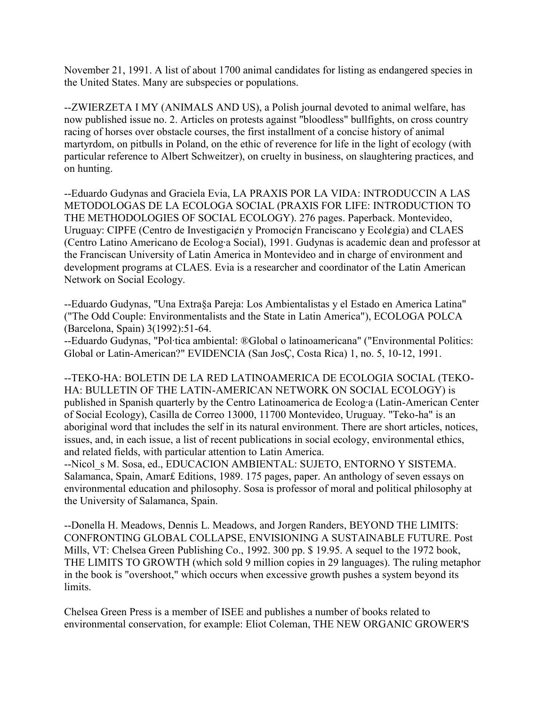November 21, 1991. A list of about 1700 animal candidates for listing as endangered species in the United States. Many are subspecies or populations.

--ZWIERZETA I MY (ANIMALS AND US), a Polish journal devoted to animal welfare, has now published issue no. 2. Articles on protests against "bloodless" bullfights, on cross country racing of horses over obstacle courses, the first installment of a concise history of animal martyrdom, on pitbulls in Poland, on the ethic of reverence for life in the light of ecology (with particular reference to Albert Schweitzer), on cruelty in business, on slaughtering practices, and on hunting.

--Eduardo Gudynas and Graciela Evia, LA PRAXIS POR LA VIDA: INTRODUCCIN A LAS METODOLOGAS DE LA ECOLOGA SOCIAL (PRAXIS FOR LIFE: INTRODUCTION TO THE METHODOLOGIES OF SOCIAL ECOLOGY). 276 pages. Paperback. Montevideo, Uruguay: CIPFE (Centro de Investigaci¢n y Promoci¢n Franciscano y Ecol¢gia) and CLAES (Centro Latino Americano de Ecolog·a Social), 1991. Gudynas is academic dean and professor at the Franciscan University of Latin America in Montevideo and in charge of environment and development programs at CLAES. Evia is a researcher and coordinator of the Latin American Network on Social Ecology.

--Eduardo Gudynas, "Una Extra§a Pareja: Los Ambientalistas y el Estado en America Latina" ("The Odd Couple: Environmentalists and the State in Latin America"), ECOLOGA POLCA (Barcelona, Spain) 3(1992):51-64.

--Eduardo Gudynas, "Pol·tica ambiental: ®Global o latinoamericana" ("Environmental Politics: Global or Latin-American?" EVIDENCIA (San JosÇ, Costa Rica) 1, no. 5, 10-12, 1991.

--TEKO-HA: BOLETIN DE LA RED LATINOAMERICA DE ECOLOGIA SOCIAL (TEKO-HA: BULLETIN OF THE LATIN-AMERICAN NETWORK ON SOCIAL ECOLOGY) is published in Spanish quarterly by the Centro Latinoamerica de Ecolog·a (Latin-American Center of Social Ecology), Casilla de Correo 13000, 11700 Montevideo, Uruguay. "Teko-ha" is an aboriginal word that includes the self in its natural environment. There are short articles, notices, issues, and, in each issue, a list of recent publications in social ecology, environmental ethics, and related fields, with particular attention to Latin America.

--Nicol s M. Sosa, ed., EDUCACION AMBIENTAL: SUJETO, ENTORNO Y SISTEMA. Salamanca, Spain, Amar£ Editions, 1989. 175 pages, paper. An anthology of seven essays on environmental education and philosophy. Sosa is professor of moral and political philosophy at the University of Salamanca, Spain.

--Donella H. Meadows, Dennis L. Meadows, and Jorgen Randers, BEYOND THE LIMITS: CONFRONTING GLOBAL COLLAPSE, ENVISIONING A SUSTAINABLE FUTURE. Post Mills, VT: Chelsea Green Publishing Co., 1992. 300 pp. \$ 19.95. A sequel to the 1972 book, THE LIMITS TO GROWTH (which sold 9 million copies in 29 languages). The ruling metaphor in the book is "overshoot," which occurs when excessive growth pushes a system beyond its limits.

Chelsea Green Press is a member of ISEE and publishes a number of books related to environmental conservation, for example: Eliot Coleman, THE NEW ORGANIC GROWER'S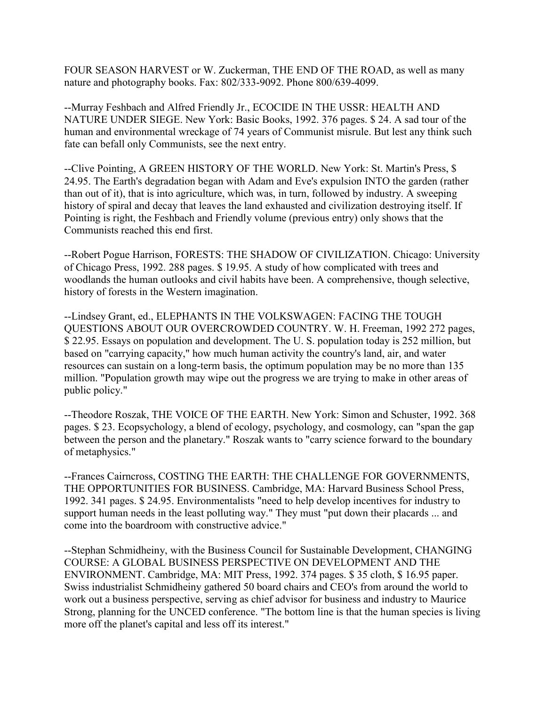FOUR SEASON HARVEST or W. Zuckerman, THE END OF THE ROAD, as well as many nature and photography books. Fax: 802/333-9092. Phone 800/639-4099.

--Murray Feshbach and Alfred Friendly Jr., ECOCIDE IN THE USSR: HEALTH AND NATURE UNDER SIEGE. New York: Basic Books, 1992. 376 pages. \$ 24. A sad tour of the human and environmental wreckage of 74 years of Communist misrule. But lest any think such fate can befall only Communists, see the next entry.

--Clive Pointing, A GREEN HISTORY OF THE WORLD. New York: St. Martin's Press, \$ 24.95. The Earth's degradation began with Adam and Eve's expulsion INTO the garden (rather than out of it), that is into agriculture, which was, in turn, followed by industry. A sweeping history of spiral and decay that leaves the land exhausted and civilization destroying itself. If Pointing is right, the Feshbach and Friendly volume (previous entry) only shows that the Communists reached this end first.

--Robert Pogue Harrison, FORESTS: THE SHADOW OF CIVILIZATION. Chicago: University of Chicago Press, 1992. 288 pages. \$ 19.95. A study of how complicated with trees and woodlands the human outlooks and civil habits have been. A comprehensive, though selective, history of forests in the Western imagination.

--Lindsey Grant, ed., ELEPHANTS IN THE VOLKSWAGEN: FACING THE TOUGH QUESTIONS ABOUT OUR OVERCROWDED COUNTRY. W. H. Freeman, 1992 272 pages,  $\hat{\mathbf{S}}$  22.95. Essays on population and development. The U. S. population today is 252 million, but based on "carrying capacity," how much human activity the country's land, air, and water resources can sustain on a long-term basis, the optimum population may be no more than 135 million. "Population growth may wipe out the progress we are trying to make in other areas of public policy."

--Theodore Roszak, THE VOICE OF THE EARTH. New York: Simon and Schuster, 1992. 368 pages. \$ 23. Ecopsychology, a blend of ecology, psychology, and cosmology, can "span the gap between the person and the planetary." Roszak wants to "carry science forward to the boundary of metaphysics."

--Frances Cairncross, COSTING THE EARTH: THE CHALLENGE FOR GOVERNMENTS, THE OPPORTUNITIES FOR BUSINESS. Cambridge, MA: Harvard Business School Press, 1992. 341 pages. \$ 24.95. Environmentalists "need to help develop incentives for industry to support human needs in the least polluting way." They must "put down their placards ... and come into the boardroom with constructive advice."

--Stephan Schmidheiny, with the Business Council for Sustainable Development, CHANGING COURSE: A GLOBAL BUSINESS PERSPECTIVE ON DEVELOPMENT AND THE ENVIRONMENT. Cambridge, MA: MIT Press, 1992. 374 pages. \$ 35 cloth, \$ 16.95 paper. Swiss industrialist Schmidheiny gathered 50 board chairs and CEO's from around the world to work out a business perspective, serving as chief advisor for business and industry to Maurice Strong, planning for the UNCED conference. "The bottom line is that the human species is living more off the planet's capital and less off its interest."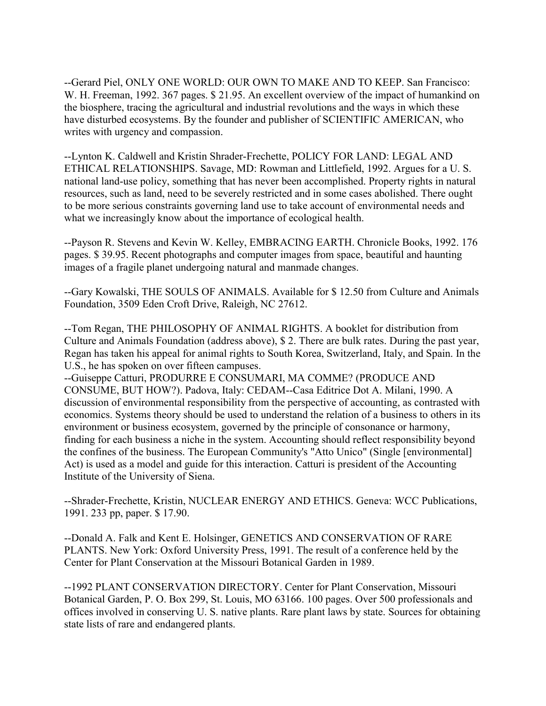--Gerard Piel, ONLY ONE WORLD: OUR OWN TO MAKE AND TO KEEP. San Francisco: W. H. Freeman, 1992. 367 pages. \$ 21.95. An excellent overview of the impact of humankind on the biosphere, tracing the agricultural and industrial revolutions and the ways in which these have disturbed ecosystems. By the founder and publisher of SCIENTIFIC AMERICAN, who writes with urgency and compassion.

--Lynton K. Caldwell and Kristin Shrader-Frechette, POLICY FOR LAND: LEGAL AND ETHICAL RELATIONSHIPS. Savage, MD: Rowman and Littlefield, 1992. Argues for a U. S. national land-use policy, something that has never been accomplished. Property rights in natural resources, such as land, need to be severely restricted and in some cases abolished. There ought to be more serious constraints governing land use to take account of environmental needs and what we increasingly know about the importance of ecological health.

--Payson R. Stevens and Kevin W. Kelley, EMBRACING EARTH. Chronicle Books, 1992. 176 pages. \$ 39.95. Recent photographs and computer images from space, beautiful and haunting images of a fragile planet undergoing natural and manmade changes.

--Gary Kowalski, THE SOULS OF ANIMALS. Available for \$ 12.50 from Culture and Animals Foundation, 3509 Eden Croft Drive, Raleigh, NC 27612.

--Tom Regan, THE PHILOSOPHY OF ANIMAL RIGHTS. A booklet for distribution from Culture and Animals Foundation (address above), \$ 2. There are bulk rates. During the past year, Regan has taken his appeal for animal rights to South Korea, Switzerland, Italy, and Spain. In the U.S., he has spoken on over fifteen campuses.

--Guiseppe Catturi, PRODURRE E CONSUMARI, MA COMME? (PRODUCE AND CONSUME, BUT HOW?). Padova, Italy: CEDAM--Casa Editrice Dot A. Milani, 1990. A discussion of environmental responsibility from the perspective of accounting, as contrasted with economics. Systems theory should be used to understand the relation of a business to others in its environment or business ecosystem, governed by the principle of consonance or harmony, finding for each business a niche in the system. Accounting should reflect responsibility beyond the confines of the business. The European Community's "Atto Unico" (Single [environmental] Act) is used as a model and guide for this interaction. Catturi is president of the Accounting Institute of the University of Siena.

--Shrader-Frechette, Kristin, NUCLEAR ENERGY AND ETHICS. Geneva: WCC Publications, 1991. 233 pp, paper. \$ 17.90.

--Donald A. Falk and Kent E. Holsinger, GENETICS AND CONSERVATION OF RARE PLANTS. New York: Oxford University Press, 1991. The result of a conference held by the Center for Plant Conservation at the Missouri Botanical Garden in 1989.

--1992 PLANT CONSERVATION DIRECTORY. Center for Plant Conservation, Missouri Botanical Garden, P. O. Box 299, St. Louis, MO 63166. 100 pages. Over 500 professionals and offices involved in conserving U. S. native plants. Rare plant laws by state. Sources for obtaining state lists of rare and endangered plants.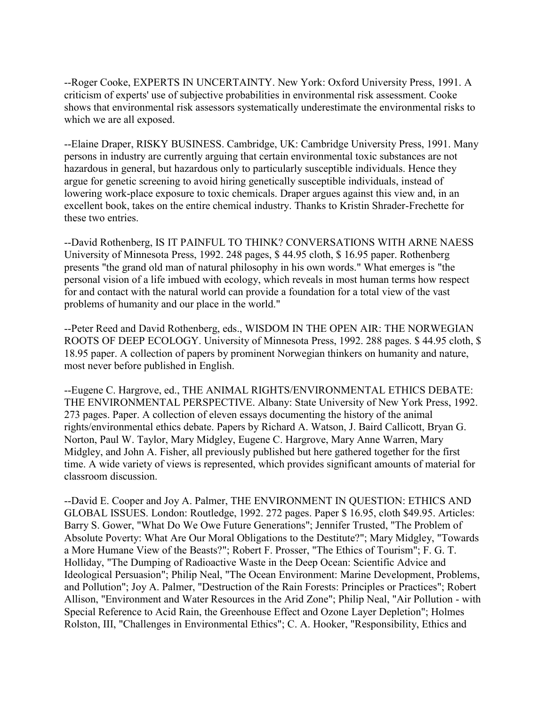--Roger Cooke, EXPERTS IN UNCERTAINTY. New York: Oxford University Press, 1991. A criticism of experts' use of subjective probabilities in environmental risk assessment. Cooke shows that environmental risk assessors systematically underestimate the environmental risks to which we are all exposed.

--Elaine Draper, RISKY BUSINESS. Cambridge, UK: Cambridge University Press, 1991. Many persons in industry are currently arguing that certain environmental toxic substances are not hazardous in general, but hazardous only to particularly susceptible individuals. Hence they argue for genetic screening to avoid hiring genetically susceptible individuals, instead of lowering work-place exposure to toxic chemicals. Draper argues against this view and, in an excellent book, takes on the entire chemical industry. Thanks to Kristin Shrader-Frechette for these two entries.

--David Rothenberg, IS IT PAINFUL TO THINK? CONVERSATIONS WITH ARNE NAESS University of Minnesota Press, 1992. 248 pages, \$ 44.95 cloth, \$ 16.95 paper. Rothenberg presents "the grand old man of natural philosophy in his own words." What emerges is "the personal vision of a life imbued with ecology, which reveals in most human terms how respect for and contact with the natural world can provide a foundation for a total view of the vast problems of humanity and our place in the world."

--Peter Reed and David Rothenberg, eds., WISDOM IN THE OPEN AIR: THE NORWEGIAN ROOTS OF DEEP ECOLOGY. University of Minnesota Press, 1992. 288 pages. \$ 44.95 cloth, \$ 18.95 paper. A collection of papers by prominent Norwegian thinkers on humanity and nature, most never before published in English.

--Eugene C. Hargrove, ed., THE ANIMAL RIGHTS/ENVIRONMENTAL ETHICS DEBATE: THE ENVIRONMENTAL PERSPECTIVE. Albany: State University of New York Press, 1992. 273 pages. Paper. A collection of eleven essays documenting the history of the animal rights/environmental ethics debate. Papers by Richard A. Watson, J. Baird Callicott, Bryan G. Norton, Paul W. Taylor, Mary Midgley, Eugene C. Hargrove, Mary Anne Warren, Mary Midgley, and John A. Fisher, all previously published but here gathered together for the first time. A wide variety of views is represented, which provides significant amounts of material for classroom discussion.

--David E. Cooper and Joy A. Palmer, THE ENVIRONMENT IN QUESTION: ETHICS AND GLOBAL ISSUES. London: Routledge, 1992. 272 pages. Paper \$ 16.95, cloth \$49.95. Articles: Barry S. Gower, "What Do We Owe Future Generations"; Jennifer Trusted, "The Problem of Absolute Poverty: What Are Our Moral Obligations to the Destitute?"; Mary Midgley, "Towards a More Humane View of the Beasts?"; Robert F. Prosser, "The Ethics of Tourism"; F. G. T. Holliday, "The Dumping of Radioactive Waste in the Deep Ocean: Scientific Advice and Ideological Persuasion"; Philip Neal, "The Ocean Environment: Marine Development, Problems, and Pollution"; Joy A. Palmer, "Destruction of the Rain Forests: Principles or Practices"; Robert Allison, "Environment and Water Resources in the Arid Zone"; Philip Neal, "Air Pollution - with Special Reference to Acid Rain, the Greenhouse Effect and Ozone Layer Depletion"; Holmes Rolston, III, "Challenges in Environmental Ethics"; C. A. Hooker, "Responsibility, Ethics and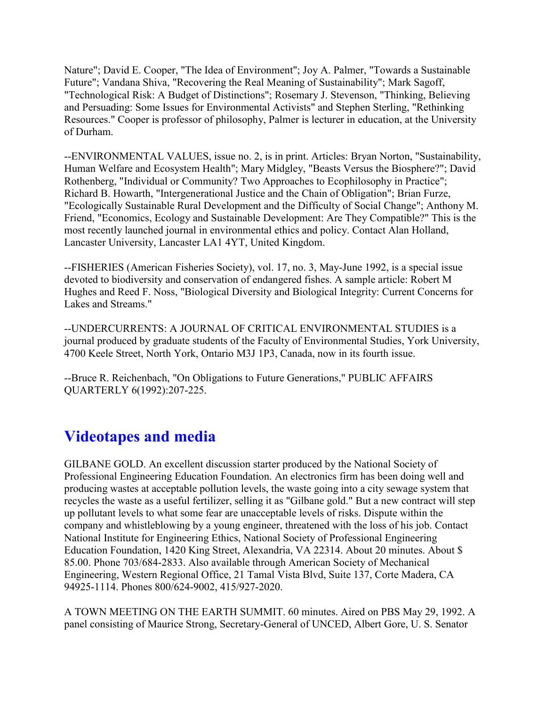Nature"; David E. Cooper, "The Idea of Environment"; Joy A. Palmer, "Towards a Sustainable Future"; Vandana Shiva, "Recovering the Real Meaning of Sustainability"; Mark Sagoff, "Technological Risk: A Budget of Distinctions"; Rosemary J. Stevenson, "Thinking, Believing and Persuading: Some Issues for Environmental Activists" and Stephen Sterling, "Rethinking Resources." Cooper is professor of philosophy, Palmer is lecturer in education, at the University of Durham.

--ENVIRONMENTAL VALUES, issue no. 2, is in print. Articles: Bryan Norton, "Sustainability, Human Welfare and Ecosystem Health"; Mary Midgley, "Beasts Versus the Biosphere?"; David Rothenberg, "Individual or Community? Two Approaches to Ecophilosophy in Practice"; Richard B. Howarth, "Intergenerational Justice and the Chain of Obligation"; Brian Furze, "Ecologically Sustainable Rural Development and the Difficulty of Social Change"; Anthony M. Friend, "Economics, Ecology and Sustainable Development: Are They Compatible?" This is the most recently launched journal in environmental ethics and policy. Contact Alan Holland, Lancaster University, Lancaster LA1 4YT, United Kingdom.

--FISHERIES (American Fisheries Society), vol. 17, no. 3, May-June 1992, is a special issue devoted to biodiversity and conservation of endangered fishes. A sample article: Robert M Hughes and Reed F. Noss, "Biological Diversity and Biological Integrity: Current Concerns for Lakes and Streams."

--UNDERCURRENTS: A JOURNAL OF CRITICAL ENVIRONMENTAL STUDIES is a journal produced by graduate students of the Faculty of Environmental Studies, York University, 4700 Keele Street, North York, Ontario M3J 1P3, Canada, now in its fourth issue.

--Bruce R. Reichenbach, "On Obligations to Future Generations," PUBLIC AFFAIRS QUARTERLY 6(1992):207-225.

### **Videotapes and media**

GILBANE GOLD. An excellent discussion starter produced by the National Society of Professional Engineering Education Foundation. An electronics firm has been doing well and producing wastes at acceptable pollution levels, the waste going into a city sewage system that recycles the waste as a useful fertilizer, selling it as "Gilbane gold." But a new contract will step up pollutant levels to what some fear are unacceptable levels of risks. Dispute within the company and whistleblowing by a young engineer, threatened with the loss of his job. Contact National Institute for Engineering Ethics, National Society of Professional Engineering Education Foundation, 1420 King Street, Alexandria, VA 22314. About 20 minutes. About \$ 85.00. Phone 703/684-2833. Also available through American Society of Mechanical Engineering, Western Regional Office, 21 Tamal Vista Blvd, Suite 137, Corte Madera, CA 94925-1114. Phones 800/624-9002, 415/927-2020.

A TOWN MEETING ON THE EARTH SUMMIT. 60 minutes. Aired on PBS May 29, 1992. A panel consisting of Maurice Strong, Secretary-General of UNCED, Albert Gore, U. S. Senator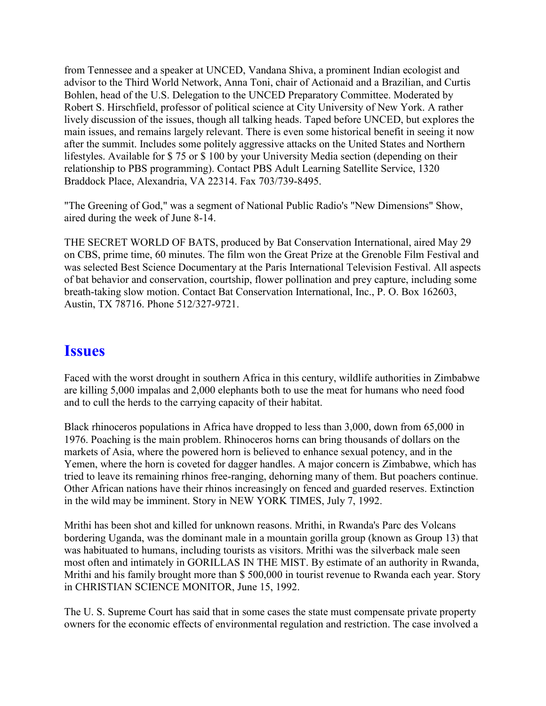from Tennessee and a speaker at UNCED, Vandana Shiva, a prominent Indian ecologist and advisor to the Third World Network, Anna Toni, chair of Actionaid and a Brazilian, and Curtis Bohlen, head of the U.S. Delegation to the UNCED Preparatory Committee. Moderated by Robert S. Hirschfield, professor of political science at City University of New York. A rather lively discussion of the issues, though all talking heads. Taped before UNCED, but explores the main issues, and remains largely relevant. There is even some historical benefit in seeing it now after the summit. Includes some politely aggressive attacks on the United States and Northern lifestyles. Available for \$ 75 or \$ 100 by your University Media section (depending on their relationship to PBS programming). Contact PBS Adult Learning Satellite Service, 1320 Braddock Place, Alexandria, VA 22314. Fax 703/739-8495.

"The Greening of God," was a segment of National Public Radio's "New Dimensions" Show, aired during the week of June 8-14.

THE SECRET WORLD OF BATS, produced by Bat Conservation International, aired May 29 on CBS, prime time, 60 minutes. The film won the Great Prize at the Grenoble Film Festival and was selected Best Science Documentary at the Paris International Television Festival. All aspects of bat behavior and conservation, courtship, flower pollination and prey capture, including some breath-taking slow motion. Contact Bat Conservation International, Inc., P. O. Box 162603, Austin, TX 78716. Phone 512/327-9721.

### **Issues**

Faced with the worst drought in southern Africa in this century, wildlife authorities in Zimbabwe are killing 5,000 impalas and 2,000 elephants both to use the meat for humans who need food and to cull the herds to the carrying capacity of their habitat.

Black rhinoceros populations in Africa have dropped to less than 3,000, down from 65,000 in 1976. Poaching is the main problem. Rhinoceros horns can bring thousands of dollars on the markets of Asia, where the powered horn is believed to enhance sexual potency, and in the Yemen, where the horn is coveted for dagger handles. A major concern is Zimbabwe, which has tried to leave its remaining rhinos free-ranging, dehorning many of them. But poachers continue. Other African nations have their rhinos increasingly on fenced and guarded reserves. Extinction in the wild may be imminent. Story in NEW YORK TIMES, July 7, 1992.

Mrithi has been shot and killed for unknown reasons. Mrithi, in Rwanda's Parc des Volcans bordering Uganda, was the dominant male in a mountain gorilla group (known as Group 13) that was habituated to humans, including tourists as visitors. Mrithi was the silverback male seen most often and intimately in GORILLAS IN THE MIST. By estimate of an authority in Rwanda, Mrithi and his family brought more than \$ 500,000 in tourist revenue to Rwanda each year. Story in CHRISTIAN SCIENCE MONITOR, June 15, 1992.

The U. S. Supreme Court has said that in some cases the state must compensate private property owners for the economic effects of environmental regulation and restriction. The case involved a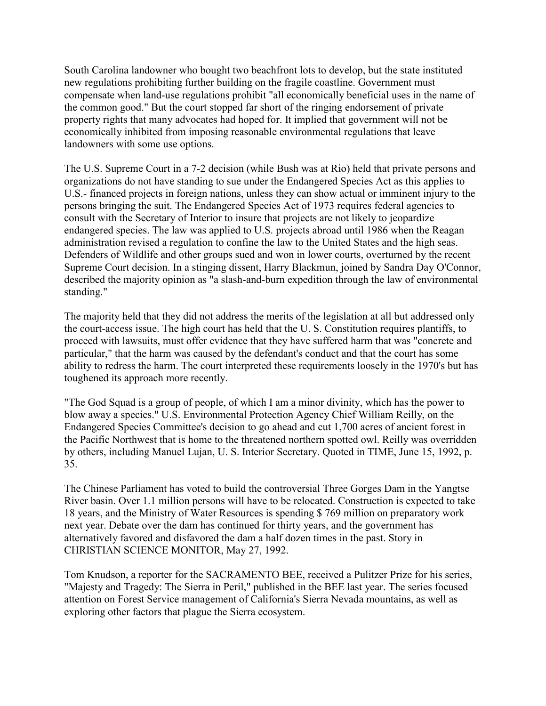South Carolina landowner who bought two beachfront lots to develop, but the state instituted new regulations prohibiting further building on the fragile coastline. Government must compensate when land-use regulations prohibit "all economically beneficial uses in the name of the common good." But the court stopped far short of the ringing endorsement of private property rights that many advocates had hoped for. It implied that government will not be economically inhibited from imposing reasonable environmental regulations that leave landowners with some use options.

The U.S. Supreme Court in a 7-2 decision (while Bush was at Rio) held that private persons and organizations do not have standing to sue under the Endangered Species Act as this applies to U.S.- financed projects in foreign nations, unless they can show actual or imminent injury to the persons bringing the suit. The Endangered Species Act of 1973 requires federal agencies to consult with the Secretary of Interior to insure that projects are not likely to jeopardize endangered species. The law was applied to U.S. projects abroad until 1986 when the Reagan administration revised a regulation to confine the law to the United States and the high seas. Defenders of Wildlife and other groups sued and won in lower courts, overturned by the recent Supreme Court decision. In a stinging dissent, Harry Blackmun, joined by Sandra Day O'Connor, described the majority opinion as "a slash-and-burn expedition through the law of environmental standing."

The majority held that they did not address the merits of the legislation at all but addressed only the court-access issue. The high court has held that the U. S. Constitution requires plantiffs, to proceed with lawsuits, must offer evidence that they have suffered harm that was "concrete and particular," that the harm was caused by the defendant's conduct and that the court has some ability to redress the harm. The court interpreted these requirements loosely in the 1970's but has toughened its approach more recently.

"The God Squad is a group of people, of which I am a minor divinity, which has the power to blow away a species." U.S. Environmental Protection Agency Chief William Reilly, on the Endangered Species Committee's decision to go ahead and cut 1,700 acres of ancient forest in the Pacific Northwest that is home to the threatened northern spotted owl. Reilly was overridden by others, including Manuel Lujan, U. S. Interior Secretary. Quoted in TIME, June 15, 1992, p. 35.

The Chinese Parliament has voted to build the controversial Three Gorges Dam in the Yangtse River basin. Over 1.1 million persons will have to be relocated. Construction is expected to take 18 years, and the Ministry of Water Resources is spending \$ 769 million on preparatory work next year. Debate over the dam has continued for thirty years, and the government has alternatively favored and disfavored the dam a half dozen times in the past. Story in CHRISTIAN SCIENCE MONITOR, May 27, 1992.

Tom Knudson, a reporter for the SACRAMENTO BEE, received a Pulitzer Prize for his series, "Majesty and Tragedy: The Sierra in Peril," published in the BEE last year. The series focused attention on Forest Service management of California's Sierra Nevada mountains, as well as exploring other factors that plague the Sierra ecosystem.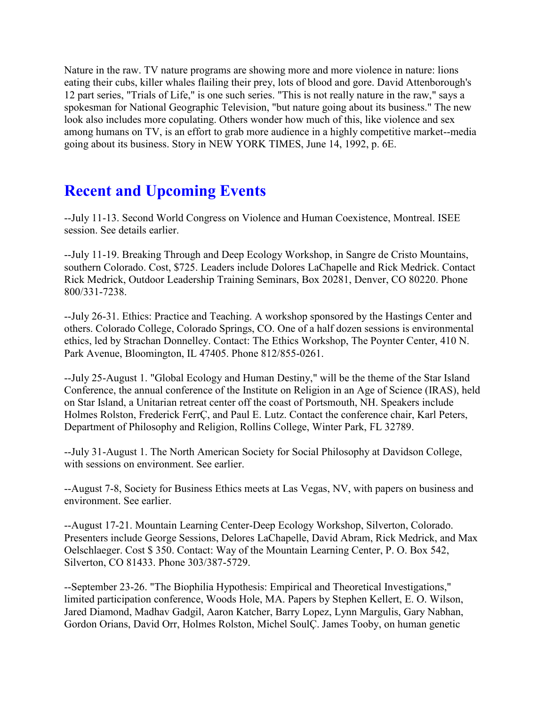Nature in the raw. TV nature programs are showing more and more violence in nature: lions eating their cubs, killer whales flailing their prey, lots of blood and gore. David Attenborough's 12 part series, "Trials of Life," is one such series. "This is not really nature in the raw," says a spokesman for National Geographic Television, "but nature going about its business." The new look also includes more copulating. Others wonder how much of this, like violence and sex among humans on TV, is an effort to grab more audience in a highly competitive market--media going about its business. Story in NEW YORK TIMES, June 14, 1992, p. 6E.

## **Recent and Upcoming Events**

--July 11-13. Second World Congress on Violence and Human Coexistence, Montreal. ISEE session. See details earlier.

--July 11-19. Breaking Through and Deep Ecology Workshop, in Sangre de Cristo Mountains, southern Colorado. Cost, \$725. Leaders include Dolores LaChapelle and Rick Medrick. Contact Rick Medrick, Outdoor Leadership Training Seminars, Box 20281, Denver, CO 80220. Phone 800/331-7238.

--July 26-31. Ethics: Practice and Teaching. A workshop sponsored by the Hastings Center and others. Colorado College, Colorado Springs, CO. One of a half dozen sessions is environmental ethics, led by Strachan Donnelley. Contact: The Ethics Workshop, The Poynter Center, 410 N. Park Avenue, Bloomington, IL 47405. Phone 812/855-0261.

--July 25-August 1. "Global Ecology and Human Destiny," will be the theme of the Star Island Conference, the annual conference of the Institute on Religion in an Age of Science (IRAS), held on Star Island, a Unitarian retreat center off the coast of Portsmouth, NH. Speakers include Holmes Rolston, Frederick FerrÇ, and Paul E. Lutz. Contact the conference chair, Karl Peters, Department of Philosophy and Religion, Rollins College, Winter Park, FL 32789.

--July 31-August 1. The North American Society for Social Philosophy at Davidson College, with sessions on environment. See earlier.

--August 7-8, Society for Business Ethics meets at Las Vegas, NV, with papers on business and environment. See earlier.

--August 17-21. Mountain Learning Center-Deep Ecology Workshop, Silverton, Colorado. Presenters include George Sessions, Delores LaChapelle, David Abram, Rick Medrick, and Max Oelschlaeger. Cost \$ 350. Contact: Way of the Mountain Learning Center, P. O. Box 542, Silverton, CO 81433. Phone 303/387-5729.

--September 23-26. "The Biophilia Hypothesis: Empirical and Theoretical Investigations," limited participation conference, Woods Hole, MA. Papers by Stephen Kellert, E. O. Wilson, Jared Diamond, Madhav Gadgil, Aaron Katcher, Barry Lopez, Lynn Margulis, Gary Nabhan, Gordon Orians, David Orr, Holmes Rolston, Michel SoulÇ. James Tooby, on human genetic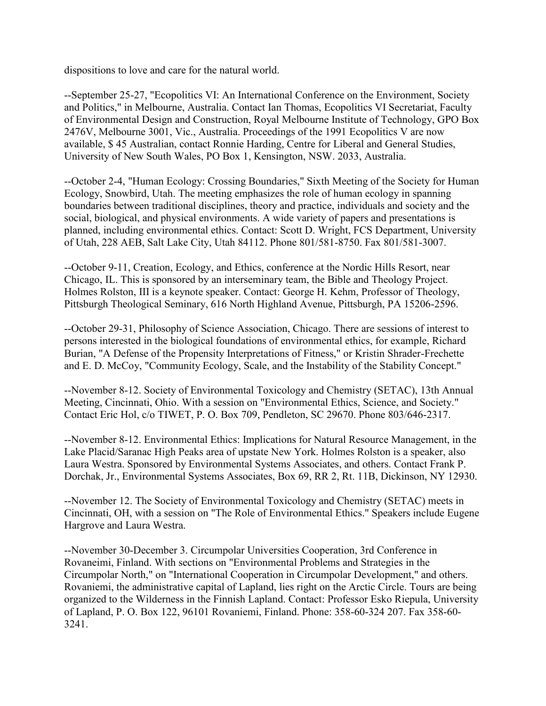dispositions to love and care for the natural world.

--September 25-27, "Ecopolitics VI: An International Conference on the Environment, Society and Politics," in Melbourne, Australia. Contact Ian Thomas, Ecopolitics VI Secretariat, Faculty of Environmental Design and Construction, Royal Melbourne Institute of Technology, GPO Box 2476V, Melbourne 3001, Vic., Australia. Proceedings of the 1991 Ecopolitics V are now available, \$ 45 Australian, contact Ronnie Harding, Centre for Liberal and General Studies, University of New South Wales, PO Box 1, Kensington, NSW. 2033, Australia.

--October 2-4, "Human Ecology: Crossing Boundaries," Sixth Meeting of the Society for Human Ecology, Snowbird, Utah. The meeting emphasizes the role of human ecology in spanning boundaries between traditional disciplines, theory and practice, individuals and society and the social, biological, and physical environments. A wide variety of papers and presentations is planned, including environmental ethics. Contact: Scott D. Wright, FCS Department, University of Utah, 228 AEB, Salt Lake City, Utah 84112. Phone 801/581-8750. Fax 801/581-3007.

--October 9-11, Creation, Ecology, and Ethics, conference at the Nordic Hills Resort, near Chicago, IL. This is sponsored by an interseminary team, the Bible and Theology Project. Holmes Rolston, III is a keynote speaker. Contact: George H. Kehm, Professor of Theology, Pittsburgh Theological Seminary, 616 North Highland Avenue, Pittsburgh, PA 15206-2596.

--October 29-31, Philosophy of Science Association, Chicago. There are sessions of interest to persons interested in the biological foundations of environmental ethics, for example, Richard Burian, "A Defense of the Propensity Interpretations of Fitness," or Kristin Shrader-Frechette and E. D. McCoy, "Community Ecology, Scale, and the Instability of the Stability Concept."

--November 8-12. Society of Environmental Toxicology and Chemistry (SETAC), 13th Annual Meeting, Cincinnati, Ohio. With a session on "Environmental Ethics, Science, and Society." Contact Eric Hol, c/o TIWET, P. O. Box 709, Pendleton, SC 29670. Phone 803/646-2317.

--November 8-12. Environmental Ethics: Implications for Natural Resource Management, in the Lake Placid/Saranac High Peaks area of upstate New York. Holmes Rolston is a speaker, also Laura Westra. Sponsored by Environmental Systems Associates, and others. Contact Frank P. Dorchak, Jr., Environmental Systems Associates, Box 69, RR 2, Rt. 11B, Dickinson, NY 12930.

--November 12. The Society of Environmental Toxicology and Chemistry (SETAC) meets in Cincinnati, OH, with a session on "The Role of Environmental Ethics." Speakers include Eugene Hargrove and Laura Westra.

--November 30-December 3. Circumpolar Universities Cooperation, 3rd Conference in Rovaneimi, Finland. With sections on "Environmental Problems and Strategies in the Circumpolar North," on "International Cooperation in Circumpolar Development," and others. Rovaniemi, the administrative capital of Lapland, lies right on the Arctic Circle. Tours are being organized to the Wilderness in the Finnish Lapland. Contact: Professor Esko Riepula, University of Lapland, P. O. Box 122, 96101 Rovaniemi, Finland. Phone: 358-60-324 207. Fax 358-60- 3241.